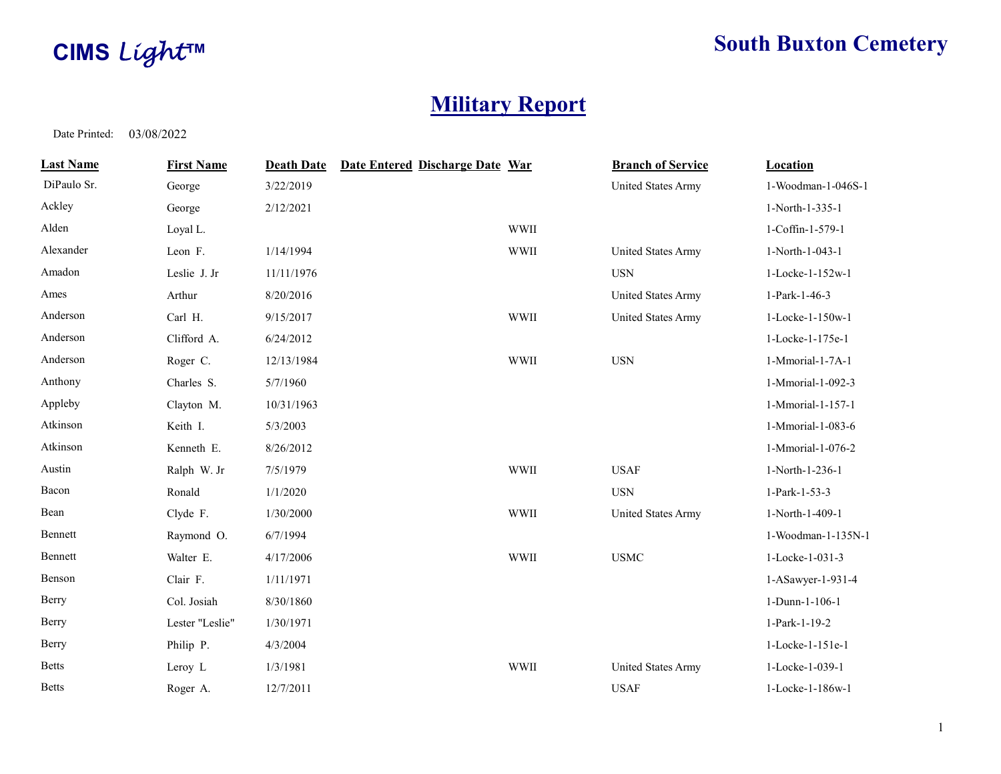

## CIMS Light™ South Buxton Cemetery

## Military Report

| <b>Last Name</b> | <b>First Name</b> | <b>Death Date</b> | Date Entered Discharge Date War |             | <b>Branch of Service</b>  | <b>Location</b>    |
|------------------|-------------------|-------------------|---------------------------------|-------------|---------------------------|--------------------|
| DiPaulo Sr.      | George            | 3/22/2019         |                                 |             | United States Army        | 1-Woodman-1-046S-1 |
| Ackley           | George            | 2/12/2021         |                                 |             |                           | 1-North-1-335-1    |
| Alden            | Loyal L.          |                   |                                 | <b>WWII</b> |                           | 1-Coffin-1-579-1   |
| Alexander        | Leon F.           | 1/14/1994         |                                 | <b>WWII</b> | United States Army        | 1-North-1-043-1    |
| Amadon           | Leslie J. Jr      | 11/11/1976        |                                 |             | <b>USN</b>                | 1-Locke-1-152w-1   |
| Ames             | Arthur            | 8/20/2016         |                                 |             | United States Army        | 1-Park-1-46-3      |
| Anderson         | Carl H.           | 9/15/2017         |                                 | <b>WWII</b> | <b>United States Army</b> | 1-Locke-1-150w-1   |
| Anderson         | Clifford A.       | 6/24/2012         |                                 |             |                           | 1-Locke-1-175e-1   |
| Anderson         | Roger C.          | 12/13/1984        |                                 | <b>WWII</b> | <b>USN</b>                | 1-Mmorial-1-7A-1   |
| Anthony          | Charles S.        | 5/7/1960          |                                 |             |                           | 1-Mmorial-1-092-3  |
| Appleby          | Clayton M.        | 10/31/1963        |                                 |             |                           | 1-Mmorial-1-157-1  |
| Atkinson         | Keith I.          | 5/3/2003          |                                 |             |                           | 1-Mmorial-1-083-6  |
| Atkinson         | Kenneth E.        | 8/26/2012         |                                 |             |                           | 1-Mmorial-1-076-2  |
| Austin           | Ralph W. Jr       | 7/5/1979          |                                 | <b>WWII</b> | <b>USAF</b>               | 1-North-1-236-1    |
| Bacon            | Ronald            | 1/1/2020          |                                 |             | $_{\rm USN}$              | 1-Park-1-53-3      |
| Bean             | Clyde F.          | 1/30/2000         |                                 | <b>WWII</b> | <b>United States Army</b> | 1-North-1-409-1    |
| Bennett          | Raymond O.        | 6/7/1994          |                                 |             |                           | 1-Woodman-1-135N-1 |
| Bennett          | Walter E.         | 4/17/2006         |                                 | <b>WWII</b> | <b>USMC</b>               | 1-Locke-1-031-3    |
| Benson           | Clair F.          | 1/11/1971         |                                 |             |                           | 1-ASawyer-1-931-4  |
| Berry            | Col. Josiah       | 8/30/1860         |                                 |             |                           | 1-Dunn-1-106-1     |
| Berry            | Lester "Leslie"   | 1/30/1971         |                                 |             |                           | 1-Park-1-19-2      |
| Berry            | Philip P.         | 4/3/2004          |                                 |             |                           | 1-Locke-1-151e-1   |
| <b>Betts</b>     | Leroy L           | 1/3/1981          |                                 | <b>WWII</b> | United States Army        | 1-Locke-1-039-1    |
| <b>Betts</b>     | Roger A.          | 12/7/2011         |                                 |             | <b>USAF</b>               | 1-Locke-1-186w-1   |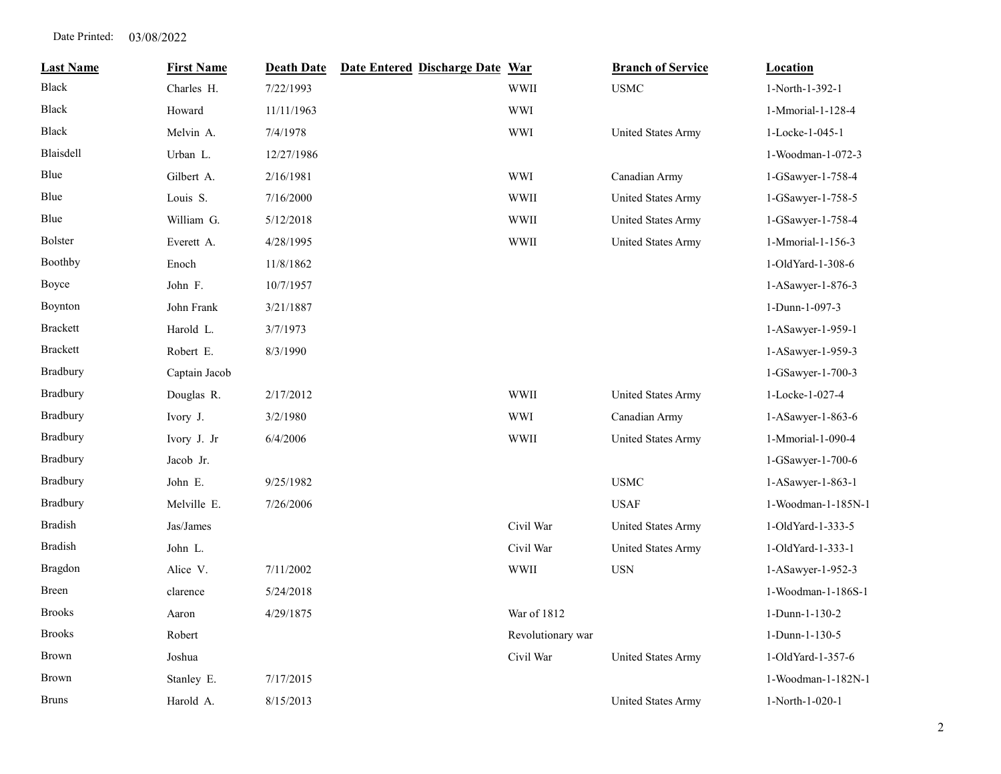| <b>Last Name</b> | <b>First Name</b> | <b>Death Date</b> | Date Entered Discharge Date War |                   | <b>Branch of Service</b>  | <b>Location</b>    |
|------------------|-------------------|-------------------|---------------------------------|-------------------|---------------------------|--------------------|
| Black            | Charles H.        | 7/22/1993         |                                 | <b>WWII</b>       | <b>USMC</b>               | 1-North-1-392-1    |
| Black            | Howard            | 11/11/1963        |                                 | <b>WWI</b>        |                           | 1-Mmorial-1-128-4  |
| <b>Black</b>     | Melvin A.         | 7/4/1978          |                                 | <b>WWI</b>        | United States Army        | 1-Locke-1-045-1    |
| <b>Blaisdell</b> | Urban L.          | 12/27/1986        |                                 |                   |                           | 1-Woodman-1-072-3  |
| Blue             | Gilbert A.        | 2/16/1981         |                                 | <b>WWI</b>        | Canadian Army             | 1-GSawyer-1-758-4  |
| Blue             | Louis S.          | 7/16/2000         |                                 | <b>WWII</b>       | United States Army        | 1-GSawyer-1-758-5  |
| Blue             | William G.        | 5/12/2018         |                                 | <b>WWII</b>       | United States Army        | 1-GSawyer-1-758-4  |
| <b>Bolster</b>   | Everett A.        | 4/28/1995         |                                 | <b>WWII</b>       | United States Army        | 1-Mmorial-1-156-3  |
| Boothby          | Enoch             | 11/8/1862         |                                 |                   |                           | 1-OldYard-1-308-6  |
| Boyce            | John F.           | 10/7/1957         |                                 |                   |                           | 1-ASawyer-1-876-3  |
| Boynton          | John Frank        | 3/21/1887         |                                 |                   |                           | 1-Dunn-1-097-3     |
| <b>Brackett</b>  | Harold L.         | 3/7/1973          |                                 |                   |                           | 1-ASawyer-1-959-1  |
| <b>Brackett</b>  | Robert E.         | 8/3/1990          |                                 |                   |                           | 1-ASawyer-1-959-3  |
| Bradbury         | Captain Jacob     |                   |                                 |                   |                           | 1-GSawyer-1-700-3  |
| Bradbury         | Douglas R.        | 2/17/2012         |                                 | <b>WWII</b>       | United States Army        | 1-Locke-1-027-4    |
| <b>Bradbury</b>  | Ivory J.          | 3/2/1980          |                                 | <b>WWI</b>        | Canadian Army             | 1-ASawyer-1-863-6  |
| Bradbury         | Ivory J. Jr       | 6/4/2006          |                                 | <b>WWII</b>       | United States Army        | 1-Mmorial-1-090-4  |
| Bradbury         | Jacob Jr.         |                   |                                 |                   |                           | 1-GSawyer-1-700-6  |
| Bradbury         | John E.           | 9/25/1982         |                                 |                   | <b>USMC</b>               | 1-ASawyer-1-863-1  |
| Bradbury         | Melville E.       | 7/26/2006         |                                 |                   | <b>USAF</b>               | 1-Woodman-1-185N-1 |
| <b>Bradish</b>   | Jas/James         |                   |                                 | Civil War         | United States Army        | 1-OldYard-1-333-5  |
| <b>Bradish</b>   | John L.           |                   |                                 | Civil War         | <b>United States Army</b> | 1-OldYard-1-333-1  |
| Bragdon          | Alice V.          | 7/11/2002         |                                 | <b>WWII</b>       | <b>USN</b>                | 1-ASawyer-1-952-3  |
| <b>Breen</b>     | clarence          | 5/24/2018         |                                 |                   |                           | 1-Woodman-1-186S-1 |
| <b>Brooks</b>    | Aaron             | 4/29/1875         |                                 | War of 1812       |                           | 1-Dunn-1-130-2     |
| <b>Brooks</b>    | Robert            |                   |                                 | Revolutionary war |                           | 1-Dunn-1-130-5     |
| <b>Brown</b>     | Joshua            |                   |                                 | Civil War         | United States Army        | 1-OldYard-1-357-6  |
| Brown            | Stanley E.        | 7/17/2015         |                                 |                   |                           | 1-Woodman-1-182N-1 |
| <b>Bruns</b>     | Harold A.         | 8/15/2013         |                                 |                   | United States Army        | 1-North-1-020-1    |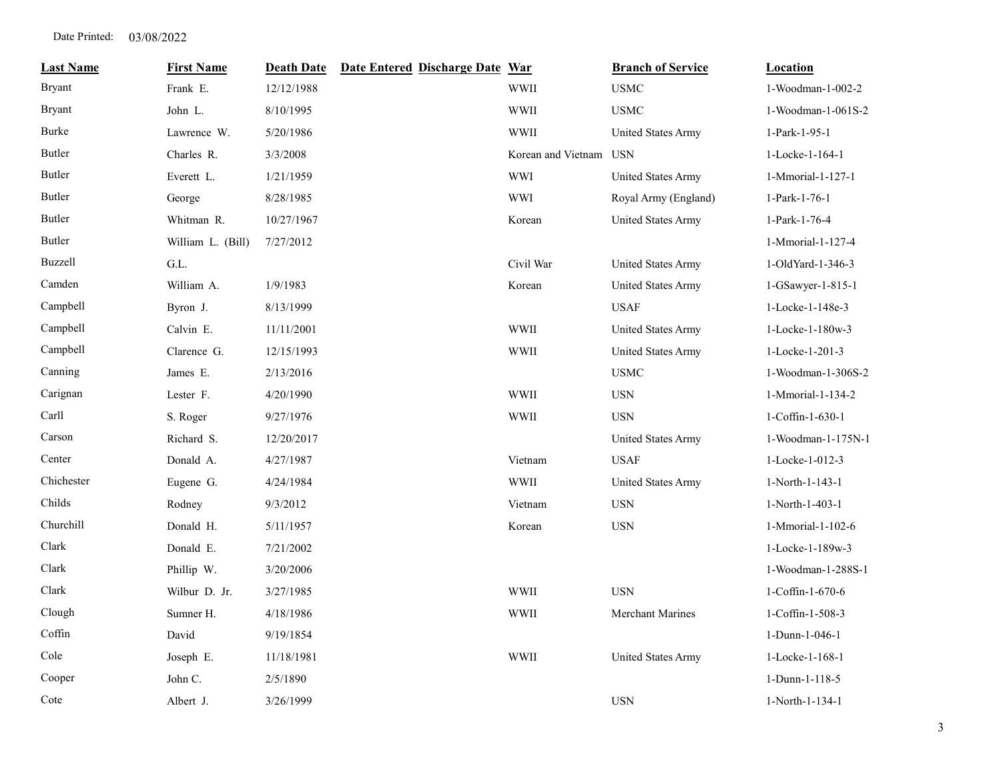| <b>Last Name</b> | <b>First Name</b> | <b>Death Date</b> | Date Entered Discharge Date War |                        | <b>Branch of Service</b>  | <b>Location</b>    |
|------------------|-------------------|-------------------|---------------------------------|------------------------|---------------------------|--------------------|
| <b>Bryant</b>    | Frank E.          | 12/12/1988        |                                 | WWII                   | <b>USMC</b>               | 1-Woodman-1-002-2  |
| <b>Bryant</b>    | John L.           | 8/10/1995         |                                 | WWII                   | <b>USMC</b>               | 1-Woodman-1-061S-2 |
| Burke            | Lawrence W.       | 5/20/1986         |                                 | <b>WWII</b>            | <b>United States Army</b> | 1-Park-1-95-1      |
| Butler           | Charles R.        | 3/3/2008          |                                 | Korean and Vietnam USN |                           | 1-Locke-1-164-1    |
| Butler           | Everett L.        | 1/21/1959         |                                 | <b>WWI</b>             | United States Army        | 1-Mmorial-1-127-1  |
| Butler           | George            | 8/28/1985         |                                 | <b>WWI</b>             | Royal Army (England)      | 1-Park-1-76-1      |
| Butler           | Whitman R.        | 10/27/1967        |                                 | Korean                 | United States Army        | 1-Park-1-76-4      |
| Butler           | William L. (Bill) | 7/27/2012         |                                 |                        |                           | 1-Mmorial-1-127-4  |
| <b>Buzzell</b>   | G.L.              |                   |                                 | Civil War              | United States Army        | 1-OldYard-1-346-3  |
| Camden           | William A.        | 1/9/1983          |                                 | Korean                 | United States Army        | 1-GSawyer-1-815-1  |
| Campbell         | Byron J.          | 8/13/1999         |                                 |                        | <b>USAF</b>               | 1-Locke-1-148e-3   |
| Campbell         | Calvin E.         | 11/11/2001        |                                 | <b>WWII</b>            | <b>United States Army</b> | 1-Locke-1-180w-3   |
| Campbell         | Clarence G.       | 12/15/1993        |                                 | <b>WWII</b>            | United States Army        | 1-Locke-1-201-3    |
| Canning          | James E.          | 2/13/2016         |                                 |                        | <b>USMC</b>               | 1-Woodman-1-306S-2 |
| Carignan         | Lester F.         | 4/20/1990         |                                 | <b>WWII</b>            | <b>USN</b>                | 1-Mmorial-1-134-2  |
| Carll            | S. Roger          | 9/27/1976         |                                 | <b>WWII</b>            | <b>USN</b>                | 1-Coffin-1-630-1   |
| Carson           | Richard S.        | 12/20/2017        |                                 |                        | <b>United States Army</b> | 1-Woodman-1-175N-1 |
| Center           | Donald A.         | 4/27/1987         |                                 | Vietnam                | <b>USAF</b>               | 1-Locke-1-012-3    |
| Chichester       | Eugene G.         | 4/24/1984         |                                 | <b>WWII</b>            | <b>United States Army</b> | 1-North-1-143-1    |
| Childs           | Rodney            | 9/3/2012          |                                 | Vietnam                | <b>USN</b>                | 1-North-1-403-1    |
| Churchill        | Donald H.         | 5/11/1957         |                                 | Korean                 | <b>USN</b>                | 1-Mmorial-1-102-6  |
| Clark            | Donald E.         | 7/21/2002         |                                 |                        |                           | 1-Locke-1-189w-3   |
| Clark            | Phillip W.        | 3/20/2006         |                                 |                        |                           | 1-Woodman-1-288S-1 |
| Clark            | Wilbur D. Jr.     | 3/27/1985         |                                 | WWII                   | <b>USN</b>                | 1-Coffin-1-670-6   |
| Clough           | Sumner H.         | 4/18/1986         |                                 | WWII                   | Merchant Marines          | 1-Coffin-1-508-3   |
| Coffin           | David             | 9/19/1854         |                                 |                        |                           | 1-Dunn-1-046-1     |
| Cole             | Joseph E.         | 11/18/1981        |                                 | <b>WWII</b>            | United States Army        | 1-Locke-1-168-1    |
| Cooper           | John C.           | 2/5/1890          |                                 |                        |                           | 1-Dunn-1-118-5     |
| Cote             | Albert J.         | 3/26/1999         |                                 |                        | <b>USN</b>                | 1-North-1-134-1    |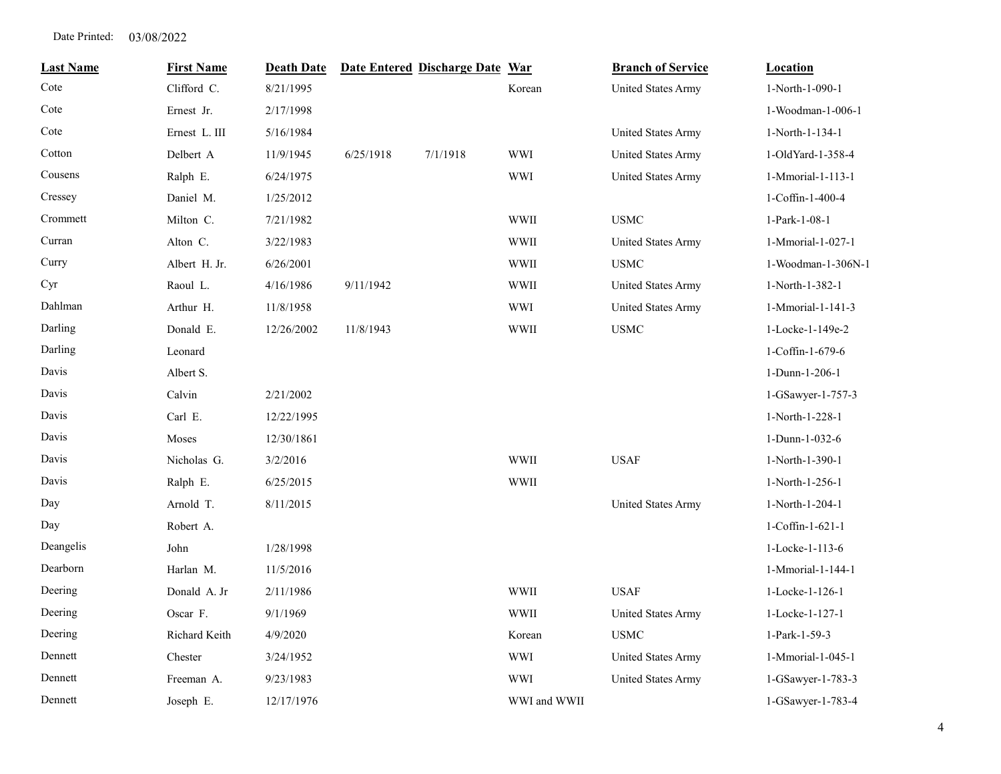| <b>Last Name</b> | <b>First Name</b> | <b>Death Date</b> |           | Date Entered Discharge Date War |              | <b>Branch of Service</b>  | <b>Location</b>    |
|------------------|-------------------|-------------------|-----------|---------------------------------|--------------|---------------------------|--------------------|
| Cote             | Clifford C.       | 8/21/1995         |           |                                 | Korean       | <b>United States Army</b> | 1-North-1-090-1    |
| Cote             | Ernest Jr.        | 2/17/1998         |           |                                 |              |                           | 1-Woodman-1-006-1  |
| Cote             | Ernest L. III     | 5/16/1984         |           |                                 |              | United States Army        | 1-North-1-134-1    |
| Cotton           | Delbert A         | 11/9/1945         | 6/25/1918 | 7/1/1918                        | <b>WWI</b>   | United States Army        | 1-OldYard-1-358-4  |
| Cousens          | Ralph E.          | 6/24/1975         |           |                                 | <b>WWI</b>   | <b>United States Army</b> | 1-Mmorial-1-113-1  |
| Cressey          | Daniel M.         | 1/25/2012         |           |                                 |              |                           | 1-Coffin-1-400-4   |
| Crommett         | Milton C.         | 7/21/1982         |           |                                 | <b>WWII</b>  | <b>USMC</b>               | 1-Park-1-08-1      |
| Curran           | Alton C.          | 3/22/1983         |           |                                 | <b>WWII</b>  | United States Army        | 1-Mmorial-1-027-1  |
| Curry            | Albert H. Jr.     | 6/26/2001         |           |                                 | <b>WWII</b>  | <b>USMC</b>               | 1-Woodman-1-306N-1 |
| Cyr              | Raoul L.          | 4/16/1986         | 9/11/1942 |                                 | <b>WWII</b>  | United States Army        | 1-North-1-382-1    |
| Dahlman          | Arthur H.         | 11/8/1958         |           |                                 | WWI          | <b>United States Army</b> | 1-Mmorial-1-141-3  |
| Darling          | Donald E.         | 12/26/2002        | 11/8/1943 |                                 | <b>WWII</b>  | <b>USMC</b>               | 1-Locke-1-149e-2   |
| Darling          | Leonard           |                   |           |                                 |              |                           | 1-Coffin-1-679-6   |
| Davis            | Albert S.         |                   |           |                                 |              |                           | 1-Dunn-1-206-1     |
| Davis            | Calvin            | 2/21/2002         |           |                                 |              |                           | 1-GSawyer-1-757-3  |
| Davis            | Carl E.           | 12/22/1995        |           |                                 |              |                           | 1-North-1-228-1    |
| Davis            | Moses             | 12/30/1861        |           |                                 |              |                           | 1-Dunn-1-032-6     |
| Davis            | Nicholas G.       | 3/2/2016          |           |                                 | <b>WWII</b>  | <b>USAF</b>               | 1-North-1-390-1    |
| Davis            | Ralph E.          | 6/25/2015         |           |                                 | WWII         |                           | 1-North-1-256-1    |
| Day              | Arnold T.         | 8/11/2015         |           |                                 |              | United States Army        | 1-North-1-204-1    |
| Day              | Robert A.         |                   |           |                                 |              |                           | 1-Coffin-1-621-1   |
| Deangelis        | John              | 1/28/1998         |           |                                 |              |                           | 1-Locke-1-113-6    |
| Dearborn         | Harlan M.         | 11/5/2016         |           |                                 |              |                           | 1-Mmorial-1-144-1  |
| Deering          | Donald A. Jr      | 2/11/1986         |           |                                 | <b>WWII</b>  | <b>USAF</b>               | 1-Locke-1-126-1    |
| Deering          | Oscar F.          | 9/1/1969          |           |                                 | <b>WWII</b>  | United States Army        | 1-Locke-1-127-1    |
| Deering          | Richard Keith     | 4/9/2020          |           |                                 | Korean       | <b>USMC</b>               | 1-Park-1-59-3      |
| Dennett          | Chester           | 3/24/1952         |           |                                 | <b>WWI</b>   | United States Army        | 1-Mmorial-1-045-1  |
| Dennett          | Freeman A.        | 9/23/1983         |           |                                 | <b>WWI</b>   | <b>United States Army</b> | 1-GSawyer-1-783-3  |
| Dennett          | Joseph E.         | 12/17/1976        |           |                                 | WWI and WWII |                           | 1-GSawyer-1-783-4  |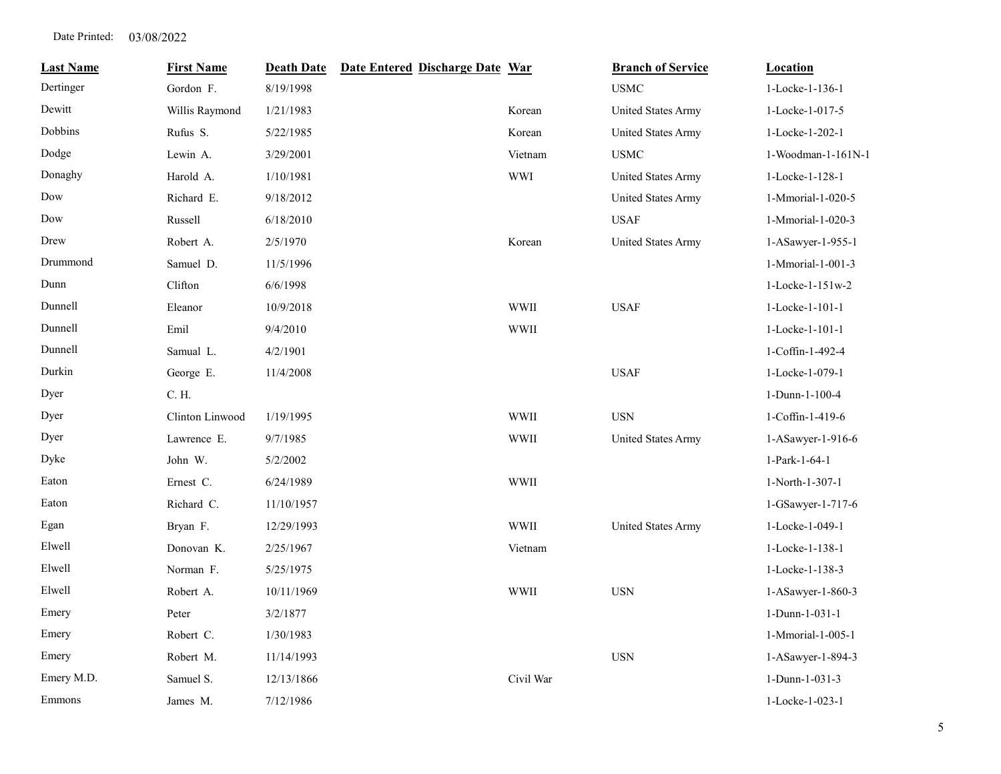| <b>Last Name</b> | <b>First Name</b> | <b>Death Date</b> | Date Entered Discharge Date War |             | <b>Branch of Service</b>  | <b>Location</b>             |
|------------------|-------------------|-------------------|---------------------------------|-------------|---------------------------|-----------------------------|
| Dertinger        | Gordon F.         | 8/19/1998         |                                 |             | <b>USMC</b>               | 1-Locke-1-136-1             |
| Dewitt           | Willis Raymond    | 1/21/1983         |                                 | Korean      | United States Army        | 1-Locke-1-017-5             |
| Dobbins          | Rufus S.          | 5/22/1985         |                                 | Korean      | <b>United States Army</b> | 1-Locke-1-202-1             |
| Dodge            | Lewin A.          | 3/29/2001         |                                 | Vietnam     | <b>USMC</b>               | 1-Woodman-1-161N-1          |
| Donaghy          | Harold A.         | 1/10/1981         |                                 | <b>WWI</b>  | United States Army        | 1-Locke-1-128-1             |
| Dow              | Richard E.        | 9/18/2012         |                                 |             | <b>United States Army</b> | 1-Mmorial-1-020-5           |
| Dow              | Russell           | 6/18/2010         |                                 |             | <b>USAF</b>               | 1-Mmorial-1-020-3           |
| Drew             | Robert A.         | 2/5/1970          |                                 | Korean      | United States Army        | 1-ASawyer-1-955-1           |
| Drummond         | Samuel D.         | 11/5/1996         |                                 |             |                           | 1-Mmorial-1-001-3           |
| Dunn             | Clifton           | 6/6/1998          |                                 |             |                           | $1 - \text{Locke-1-151w-2}$ |
| Dunnell          | Eleanor           | 10/9/2018         |                                 | <b>WWII</b> | <b>USAF</b>               | 1-Locke-1-101-1             |
| Dunnell          | Emil              | 9/4/2010          |                                 | <b>WWII</b> |                           | 1-Locke-1-101-1             |
| Dunnell          | Samual L.         | 4/2/1901          |                                 |             |                           | 1-Coffin-1-492-4            |
| Durkin           | George E.         | 11/4/2008         |                                 |             | <b>USAF</b>               | 1-Locke-1-079-1             |
| Dyer             | C. H.             |                   |                                 |             |                           | 1-Dunn-1-100-4              |
| Dyer             | Clinton Linwood   | 1/19/1995         |                                 | <b>WWII</b> | <b>USN</b>                | 1-Coffin-1-419-6            |
| Dyer             | Lawrence E.       | 9/7/1985          |                                 | <b>WWII</b> | <b>United States Army</b> | 1-ASawyer-1-916-6           |
| Dyke             | John W.           | 5/2/2002          |                                 |             |                           | 1-Park-1-64-1               |
| Eaton            | Ernest C.         | 6/24/1989         |                                 | WWII        |                           | 1-North-1-307-1             |
| Eaton            | Richard C.        | 11/10/1957        |                                 |             |                           | 1-GSawyer-1-717-6           |
| Egan             | Bryan F.          | 12/29/1993        |                                 | <b>WWII</b> | United States Army        | 1-Locke-1-049-1             |
| Elwell           | Donovan K.        | 2/25/1967         |                                 | Vietnam     |                           | 1-Locke-1-138-1             |
| Elwell           | Norman F.         | 5/25/1975         |                                 |             |                           | 1-Locke-1-138-3             |
| Elwell           | Robert A.         | 10/11/1969        |                                 | WWII        | <b>USN</b>                | 1-ASawyer-1-860-3           |
| Emery            | Peter             | 3/2/1877          |                                 |             |                           | 1-Dunn-1-031-1              |
| Emery            | Robert C.         | 1/30/1983         |                                 |             |                           | 1-Mmorial-1-005-1           |
| Emery            | Robert M.         | 11/14/1993        |                                 |             | <b>USN</b>                | 1-ASawyer-1-894-3           |
| Emery M.D.       | Samuel S.         | 12/13/1866        |                                 | Civil War   |                           | 1-Dunn-1-031-3              |
| Emmons           | James M.          | 7/12/1986         |                                 |             |                           | 1-Locke-1-023-1             |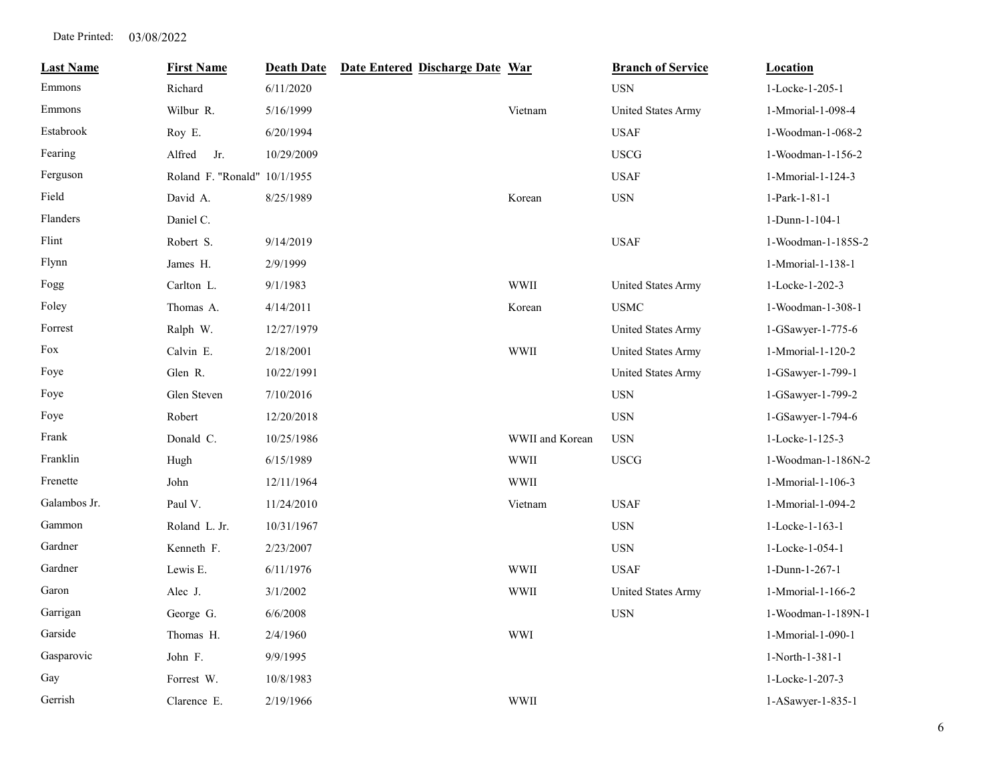| <b>Last Name</b> | <b>First Name</b>            | <b>Death Date</b> | Date Entered Discharge Date War |                 | <b>Branch of Service</b>  | <b>Location</b>    |
|------------------|------------------------------|-------------------|---------------------------------|-----------------|---------------------------|--------------------|
| Emmons           | Richard                      | 6/11/2020         |                                 |                 | <b>USN</b>                | 1-Locke-1-205-1    |
| Emmons           | Wilbur R.                    | 5/16/1999         |                                 | Vietnam         | <b>United States Army</b> | 1-Mmorial-1-098-4  |
| Estabrook        | Roy E.                       | 6/20/1994         |                                 |                 | <b>USAF</b>               | 1-Woodman-1-068-2  |
| Fearing          | Jr.<br>Alfred                | 10/29/2009        |                                 |                 | <b>USCG</b>               | 1-Woodman-1-156-2  |
| Ferguson         | Roland F. "Ronald" 10/1/1955 |                   |                                 |                 | <b>USAF</b>               | 1-Mmorial-1-124-3  |
| Field            | David A.                     | 8/25/1989         |                                 | Korean          | $_{\rm USN}$              | 1-Park-1-81-1      |
| Flanders         | Daniel C.                    |                   |                                 |                 |                           | 1-Dunn-1-104-1     |
| Flint            | Robert S.                    | 9/14/2019         |                                 |                 | <b>USAF</b>               | 1-Woodman-1-185S-2 |
| Flynn            | James H.                     | 2/9/1999          |                                 |                 |                           | 1-Mmorial-1-138-1  |
| Fogg             | Carlton L.                   | 9/1/1983          |                                 | <b>WWII</b>     | United States Army        | 1-Locke-1-202-3    |
| Foley            | Thomas A.                    | 4/14/2011         |                                 | Korean          | <b>USMC</b>               | 1-Woodman-1-308-1  |
| Forrest          | Ralph W.                     | 12/27/1979        |                                 |                 | United States Army        | 1-GSawyer-1-775-6  |
| Fox              | Calvin E.                    | 2/18/2001         |                                 | <b>WWII</b>     | <b>United States Army</b> | 1-Mmorial-1-120-2  |
| Foye             | Glen R.                      | 10/22/1991        |                                 |                 | United States Army        | 1-GSawyer-1-799-1  |
| Foye             | Glen Steven                  | 7/10/2016         |                                 |                 | <b>USN</b>                | 1-GSawyer-1-799-2  |
| Foye             | Robert                       | 12/20/2018        |                                 |                 | <b>USN</b>                | 1-GSawyer-1-794-6  |
| Frank            | Donald C.                    | 10/25/1986        |                                 | WWII and Korean | <b>USN</b>                | 1-Locke-1-125-3    |
| Franklin         | Hugh                         | 6/15/1989         |                                 | <b>WWII</b>     | <b>USCG</b>               | 1-Woodman-1-186N-2 |
| Frenette         | John                         | 12/11/1964        |                                 | <b>WWII</b>     |                           | 1-Mmorial-1-106-3  |
| Galambos Jr.     | Paul V.                      | 11/24/2010        |                                 | Vietnam         | <b>USAF</b>               | 1-Mmorial-1-094-2  |
| Gammon           | Roland L. Jr.                | 10/31/1967        |                                 |                 | <b>USN</b>                | 1-Locke-1-163-1    |
| Gardner          | Kenneth F.                   | 2/23/2007         |                                 |                 | <b>USN</b>                | 1-Locke-1-054-1    |
| Gardner          | Lewis E.                     | 6/11/1976         |                                 | <b>WWII</b>     | <b>USAF</b>               | 1-Dunn-1-267-1     |
| Garon            | Alec J.                      | 3/1/2002          |                                 | <b>WWII</b>     | <b>United States Army</b> | 1-Mmorial-1-166-2  |
| Garrigan         | George G.                    | 6/6/2008          |                                 |                 | <b>USN</b>                | 1-Woodman-1-189N-1 |
| Garside          | Thomas H.                    | 2/4/1960          |                                 | <b>WWI</b>      |                           | 1-Mmorial-1-090-1  |
| Gasparovic       | John F.                      | 9/9/1995          |                                 |                 |                           | 1-North-1-381-1    |
| Gay              | Forrest W.                   | 10/8/1983         |                                 |                 |                           | 1-Locke-1-207-3    |
| Gerrish          | Clarence E.                  | 2/19/1966         |                                 | <b>WWII</b>     |                           | 1-ASawyer-1-835-1  |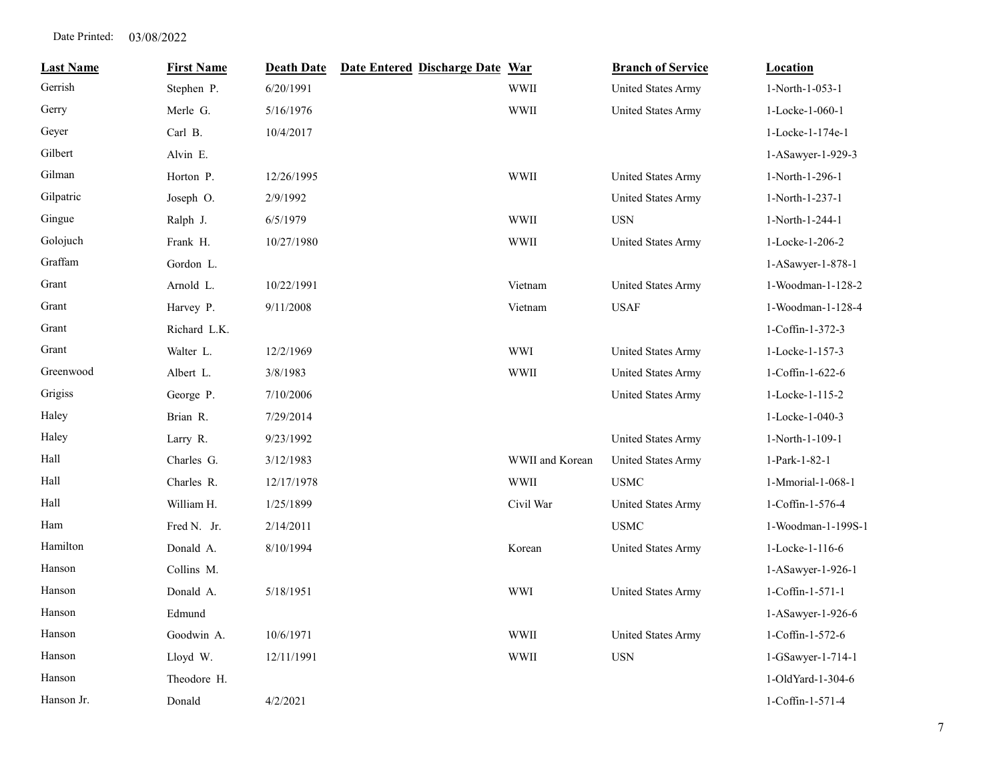| <b>Last Name</b> | <b>First Name</b> | <b>Death Date</b> | Date Entered Discharge Date War |                 | <b>Branch of Service</b>  | <b>Location</b>     |
|------------------|-------------------|-------------------|---------------------------------|-----------------|---------------------------|---------------------|
| Gerrish          | Stephen P.        | 6/20/1991         |                                 | <b>WWII</b>     | <b>United States Army</b> | 1-North-1-053-1     |
| Gerry            | Merle G.          | 5/16/1976         |                                 | <b>WWII</b>     | United States Army        | 1-Locke-1-060-1     |
| Geyer            | Carl B.           | 10/4/2017         |                                 |                 |                           | 1-Locke-1-174e-1    |
| Gilbert          | Alvin E.          |                   |                                 |                 |                           | 1-ASawyer-1-929-3   |
| Gilman           | Horton P.         | 12/26/1995        |                                 | <b>WWII</b>     | United States Army        | 1-North-1-296-1     |
| Gilpatric        | Joseph O.         | 2/9/1992          |                                 |                 | United States Army        | 1-North-1-237-1     |
| Gingue           | Ralph J.          | 6/5/1979          |                                 | <b>WWII</b>     | <b>USN</b>                | 1-North-1-244-1     |
| Golojuch         | Frank H.          | 10/27/1980        |                                 | <b>WWII</b>     | United States Army        | 1-Locke-1-206-2     |
| Graffam          | Gordon L.         |                   |                                 |                 |                           | 1-ASawyer-1-878-1   |
| Grant            | Arnold L.         | 10/22/1991        |                                 | Vietnam         | United States Army        | 1-Woodman-1-128-2   |
| Grant            | Harvey P.         | 9/11/2008         |                                 | Vietnam         | <b>USAF</b>               | 1-Woodman-1-128-4   |
| Grant            | Richard L.K.      |                   |                                 |                 |                           | 1-Coffin-1-372-3    |
| Grant            | Walter L.         | 12/2/1969         |                                 | <b>WWI</b>      | United States Army        | 1-Locke-1-157-3     |
| Greenwood        | Albert L.         | 3/8/1983          |                                 | <b>WWII</b>     | United States Army        | 1-Coffin-1-622-6    |
| Grigiss          | George P.         | 7/10/2006         |                                 |                 | United States Army        | 1-Locke-1-115-2     |
| Haley            | Brian R.          | 7/29/2014         |                                 |                 |                           | 1-Locke-1-040-3     |
| Haley            | Larry R.          | 9/23/1992         |                                 |                 | United States Army        | 1-North-1-109-1     |
| Hall             | Charles G.        | 3/12/1983         |                                 | WWII and Korean | United States Army        | 1-Park-1-82-1       |
| Hall             | Charles R.        | 12/17/1978        |                                 | <b>WWII</b>     | <b>USMC</b>               | 1-Mmorial-1-068-1   |
| Hall             | William H.        | 1/25/1899         |                                 | Civil War       | <b>United States Army</b> | 1-Coffin-1-576-4    |
| Ham              | Fred N. Jr.       | 2/14/2011         |                                 |                 | <b>USMC</b>               | 1-Woodman-1-199S-1  |
| Hamilton         | Donald A.         | 8/10/1994         |                                 | Korean          | <b>United States Army</b> | 1-Locke-1-116-6     |
| Hanson           | Collins M.        |                   |                                 |                 |                           | 1-ASawyer-1-926-1   |
| Hanson           | Donald A.         | 5/18/1951         |                                 | <b>WWI</b>      | United States Army        | 1-Coffin-1-571-1    |
| Hanson           | Edmund            |                   |                                 |                 |                           | 1-ASawyer-1-926-6   |
| Hanson           | Goodwin A.        | 10/6/1971         |                                 | <b>WWII</b>     | United States Army        | 1-Coffin-1-572-6    |
| Hanson           | Lloyd W.          | 12/11/1991        |                                 | <b>WWII</b>     | <b>USN</b>                | $1-GSawyer-1-714-1$ |
| Hanson           | Theodore H.       |                   |                                 |                 |                           | 1-OldYard-1-304-6   |
| Hanson Jr.       | Donald            | 4/2/2021          |                                 |                 |                           | 1-Coffin-1-571-4    |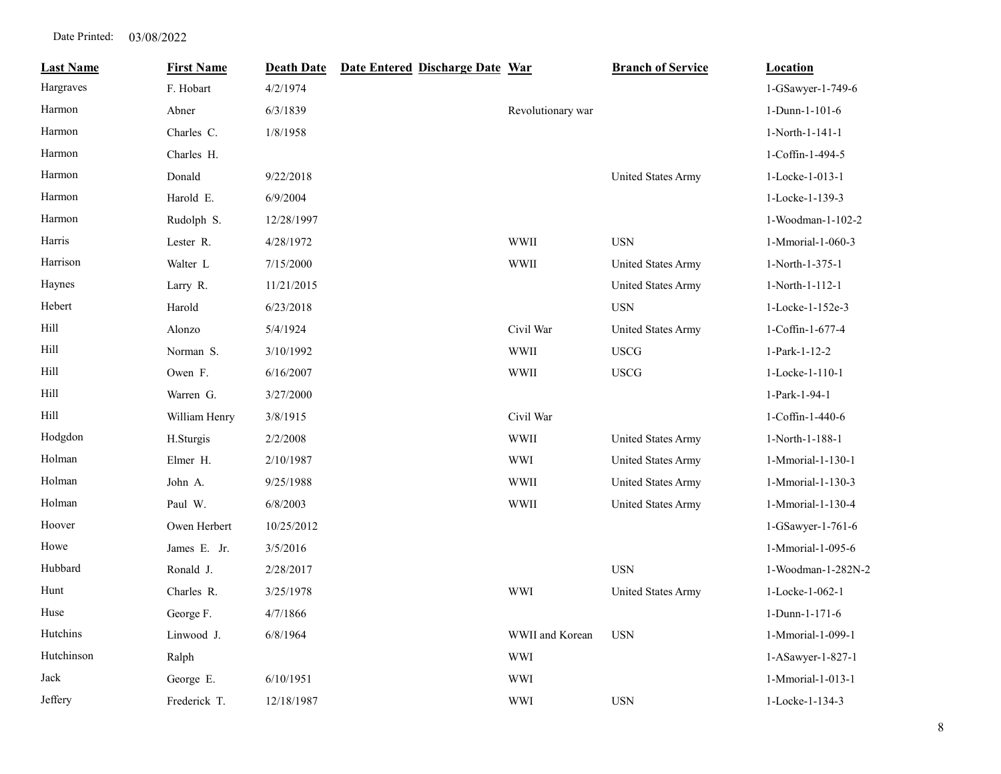| <b>Last Name</b> | <b>First Name</b> | <b>Death Date</b> | Date Entered Discharge Date War |                   | <b>Branch of Service</b>  | Location           |
|------------------|-------------------|-------------------|---------------------------------|-------------------|---------------------------|--------------------|
| Hargraves        | F. Hobart         | 4/2/1974          |                                 |                   |                           | 1-GSawyer-1-749-6  |
| Harmon           | Abner             | 6/3/1839          |                                 | Revolutionary war |                           | 1-Dunn-1-101-6     |
| Harmon           | Charles C.        | 1/8/1958          |                                 |                   |                           | 1-North-1-141-1    |
| Harmon           | Charles H.        |                   |                                 |                   |                           | 1-Coffin-1-494-5   |
| Harmon           | Donald            | 9/22/2018         |                                 |                   | United States Army        | 1-Locke-1-013-1    |
| Harmon           | Harold E.         | 6/9/2004          |                                 |                   |                           | 1-Locke-1-139-3    |
| Harmon           | Rudolph S.        | 12/28/1997        |                                 |                   |                           | 1-Woodman-1-102-2  |
| Harris           | Lester R.         | 4/28/1972         |                                 | <b>WWII</b>       | <b>USN</b>                | 1-Mmorial-1-060-3  |
| Harrison         | Walter L          | 7/15/2000         |                                 | <b>WWII</b>       | United States Army        | 1-North-1-375-1    |
| Haynes           | Larry R.          | 11/21/2015        |                                 |                   | <b>United States Army</b> | 1-North-1-112-1    |
| Hebert           | Harold            | 6/23/2018         |                                 |                   | <b>USN</b>                | 1-Locke-1-152e-3   |
| Hill             | Alonzo            | 5/4/1924          |                                 | Civil War         | <b>United States Army</b> | 1-Coffin-1-677-4   |
| Hill             | Norman S.         | 3/10/1992         |                                 | <b>WWII</b>       | <b>USCG</b>               | 1-Park-1-12-2      |
| Hill             | Owen F.           | 6/16/2007         |                                 | <b>WWII</b>       | <b>USCG</b>               | 1-Locke-1-110-1    |
| Hill             | Warren G.         | 3/27/2000         |                                 |                   |                           | 1-Park-1-94-1      |
| Hill             | William Henry     | 3/8/1915          |                                 | Civil War         |                           | 1-Coffin-1-440-6   |
| Hodgdon          | H.Sturgis         | 2/2/2008          |                                 | <b>WWII</b>       | <b>United States Army</b> | 1-North-1-188-1    |
| Holman           | Elmer H.          | 2/10/1987         |                                 | <b>WWI</b>        | United States Army        | 1-Mmorial-1-130-1  |
| Holman           | John A.           | 9/25/1988         |                                 | <b>WWII</b>       | United States Army        | 1-Mmorial-1-130-3  |
| Holman           | Paul W.           | 6/8/2003          |                                 | WWII              | <b>United States Army</b> | 1-Mmorial-1-130-4  |
| Hoover           | Owen Herbert      | 10/25/2012        |                                 |                   |                           | 1-GSawyer-1-761-6  |
| Howe             | James E. Jr.      | 3/5/2016          |                                 |                   |                           | 1-Mmorial-1-095-6  |
| Hubbard          | Ronald J.         | 2/28/2017         |                                 |                   | <b>USN</b>                | 1-Woodman-1-282N-2 |
| Hunt             | Charles R.        | 3/25/1978         |                                 | <b>WWI</b>        | <b>United States Army</b> | 1-Locke-1-062-1    |
| Huse             | George F.         | 4/7/1866          |                                 |                   |                           | 1-Dunn-1-171-6     |
| Hutchins         | Linwood J.        | 6/8/1964          |                                 | WWII and Korean   | <b>USN</b>                | 1-Mmorial-1-099-1  |
| Hutchinson       | Ralph             |                   |                                 | <b>WWI</b>        |                           | 1-ASawyer-1-827-1  |
| Jack             | George E.         | 6/10/1951         |                                 | <b>WWI</b>        |                           | 1-Mmorial-1-013-1  |
| Jeffery          | Frederick T.      | 12/18/1987        |                                 | <b>WWI</b>        | <b>USN</b>                | 1-Locke-1-134-3    |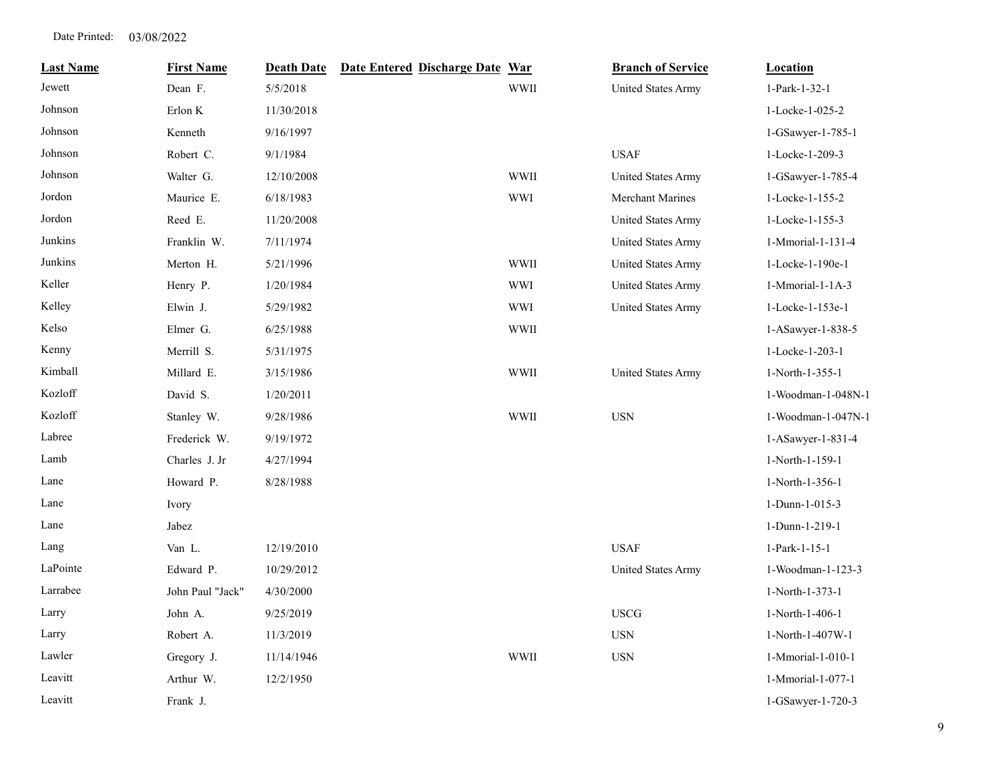| <b>Last Name</b> | <b>First Name</b> | <b>Death Date</b> | Date Entered Discharge Date War |             | <b>Branch of Service</b>  | <b>Location</b>    |
|------------------|-------------------|-------------------|---------------------------------|-------------|---------------------------|--------------------|
| Jewett           | Dean F.           | 5/5/2018          |                                 | <b>WWII</b> | United States Army        | 1-Park-1-32-1      |
| Johnson          | Erlon K           | 11/30/2018        |                                 |             |                           | 1-Locke-1-025-2    |
| Johnson          | Kenneth           | 9/16/1997         |                                 |             |                           | 1-GSawyer-1-785-1  |
| Johnson          | Robert C.         | 9/1/1984          |                                 |             | <b>USAF</b>               | 1-Locke-1-209-3    |
| Johnson          | Walter G.         | 12/10/2008        |                                 | <b>WWII</b> | United States Army        | 1-GSawyer-1-785-4  |
| Jordon           | Maurice E.        | 6/18/1983         |                                 | <b>WWI</b>  | <b>Merchant Marines</b>   | 1-Locke-1-155-2    |
| Jordon           | Reed E.           | 11/20/2008        |                                 |             | United States Army        | 1-Locke-1-155-3    |
| Junkins          | Franklin W.       | 7/11/1974         |                                 |             | United States Army        | 1-Mmorial-1-131-4  |
| Junkins          | Merton H.         | 5/21/1996         |                                 | <b>WWII</b> | <b>United States Army</b> | 1-Locke-1-190e-1   |
| Keller           | Henry P.          | 1/20/1984         |                                 | <b>WWI</b>  | United States Army        | 1-Mmorial-1-1A-3   |
| Kelley           | Elwin J.          | 5/29/1982         |                                 | <b>WWI</b>  | United States Army        | 1-Locke-1-153e-1   |
| Kelso            | Elmer G.          | 6/25/1988         |                                 | WWII        |                           | 1-ASawyer-1-838-5  |
| Kenny            | Merrill S.        | 5/31/1975         |                                 |             |                           | 1-Locke-1-203-1    |
| Kimball          | Millard E.        | 3/15/1986         |                                 | <b>WWII</b> | United States Army        | 1-North-1-355-1    |
| Kozloff          | David S.          | 1/20/2011         |                                 |             |                           | 1-Woodman-1-048N-1 |
| Kozloff          | Stanley W.        | 9/28/1986         |                                 | <b>WWII</b> | $_{\rm USN}$              | 1-Woodman-1-047N-1 |
| Labree           | Frederick W.      | 9/19/1972         |                                 |             |                           | 1-ASawyer-1-831-4  |
| Lamb             | Charles J. Jr     | 4/27/1994         |                                 |             |                           | 1-North-1-159-1    |
| Lane             | Howard P.         | 8/28/1988         |                                 |             |                           | 1-North-1-356-1    |
| Lane             | Ivory             |                   |                                 |             |                           | 1-Dunn-1-015-3     |
| Lane             | Jabez             |                   |                                 |             |                           | 1-Dunn-1-219-1     |
| Lang             | Van L.            | 12/19/2010        |                                 |             | <b>USAF</b>               | 1-Park-1-15-1      |
| LaPointe         | Edward P.         | 10/29/2012        |                                 |             | United States Army        | 1-Woodman-1-123-3  |
| Larrabee         | John Paul "Jack"  | 4/30/2000         |                                 |             |                           | 1-North-1-373-1    |
| Larry            | John A.           | 9/25/2019         |                                 |             | <b>USCG</b>               | 1-North-1-406-1    |
| Larry            | Robert A.         | 11/3/2019         |                                 |             | $_{\rm USN}$              | 1-North-1-407W-1   |
| Lawler           | Gregory J.        | 11/14/1946        |                                 | <b>WWII</b> | $_{\rm USN}$              | 1-Mmorial-1-010-1  |
| Leavitt          | Arthur W.         | 12/2/1950         |                                 |             |                           | 1-Mmorial-1-077-1  |
| Leavitt          | Frank J.          |                   |                                 |             |                           | 1-GSawyer-1-720-3  |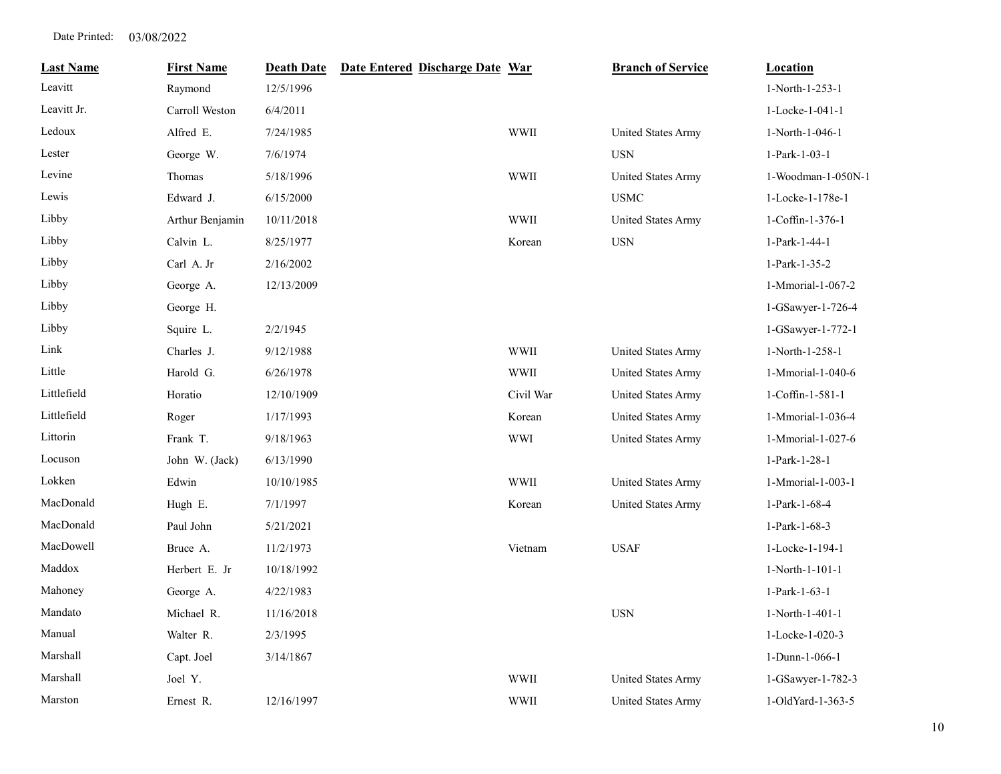| <b>Last Name</b> | <b>First Name</b> | <b>Death Date</b> | Date Entered Discharge Date War |             | <b>Branch of Service</b>  | <b>Location</b>    |
|------------------|-------------------|-------------------|---------------------------------|-------------|---------------------------|--------------------|
| Leavitt          | Raymond           | 12/5/1996         |                                 |             |                           | 1-North-1-253-1    |
| Leavitt Jr.      | Carroll Weston    | 6/4/2011          |                                 |             |                           | 1-Locke-1-041-1    |
| Ledoux           | Alfred E.         | 7/24/1985         |                                 | <b>WWII</b> | United States Army        | 1-North-1-046-1    |
| Lester           | George W.         | 7/6/1974          |                                 |             | <b>USN</b>                | 1-Park-1-03-1      |
| Levine           | Thomas            | 5/18/1996         |                                 | <b>WWII</b> | <b>United States Army</b> | 1-Woodman-1-050N-1 |
| Lewis            | Edward J.         | 6/15/2000         |                                 |             | <b>USMC</b>               | 1-Locke-1-178e-1   |
| Libby            | Arthur Benjamin   | 10/11/2018        |                                 | <b>WWII</b> | United States Army        | 1-Coffin-1-376-1   |
| Libby            | Calvin L.         | 8/25/1977         |                                 | Korean      | <b>USN</b>                | 1-Park-1-44-1      |
| Libby            | Carl A. Jr        | 2/16/2002         |                                 |             |                           | 1-Park-1-35-2      |
| Libby            | George A.         | 12/13/2009        |                                 |             |                           | 1-Mmorial-1-067-2  |
| Libby            | George H.         |                   |                                 |             |                           | 1-GSawyer-1-726-4  |
| Libby            | Squire L.         | 2/2/1945          |                                 |             |                           | 1-GSawyer-1-772-1  |
| Link             | Charles J.        | 9/12/1988         |                                 | <b>WWII</b> | United States Army        | 1-North-1-258-1    |
| Little           | Harold G.         | 6/26/1978         |                                 | <b>WWII</b> | United States Army        | 1-Mmorial-1-040-6  |
| Littlefield      | Horatio           | 12/10/1909        |                                 | Civil War   | United States Army        | 1-Coffin-1-581-1   |
| Littlefield      | Roger             | 1/17/1993         |                                 | Korean      | <b>United States Army</b> | 1-Mmorial-1-036-4  |
| Littorin         | Frank T.          | 9/18/1963         |                                 | <b>WWI</b>  | <b>United States Army</b> | 1-Mmorial-1-027-6  |
| Locuson          | John W. (Jack)    | 6/13/1990         |                                 |             |                           | 1-Park-1-28-1      |
| Lokken           | Edwin             | 10/10/1985        |                                 | <b>WWII</b> | <b>United States Army</b> | 1-Mmorial-1-003-1  |
| MacDonald        | Hugh E.           | 7/1/1997          |                                 | Korean      | United States Army        | 1-Park-1-68-4      |
| MacDonald        | Paul John         | 5/21/2021         |                                 |             |                           | 1-Park-1-68-3      |
| MacDowell        | Bruce A.          | 11/2/1973         |                                 | Vietnam     | <b>USAF</b>               | 1-Locke-1-194-1    |
| Maddox           | Herbert E. Jr     | 10/18/1992        |                                 |             |                           | 1-North-1-101-1    |
| Mahoney          | George A.         | 4/22/1983         |                                 |             |                           | 1-Park-1-63-1      |
| Mandato          | Michael R.        | 11/16/2018        |                                 |             | <b>USN</b>                | 1-North-1-401-1    |
| Manual           | Walter R.         | 2/3/1995          |                                 |             |                           | 1-Locke-1-020-3    |
| Marshall         | Capt. Joel        | 3/14/1867         |                                 |             |                           | 1-Dunn-1-066-1     |
| Marshall         | Joel Y.           |                   |                                 | <b>WWII</b> | <b>United States Army</b> | 1-GSawyer-1-782-3  |
| Marston          | Ernest R.         | 12/16/1997        |                                 | <b>WWII</b> | <b>United States Army</b> | 1-OldYard-1-363-5  |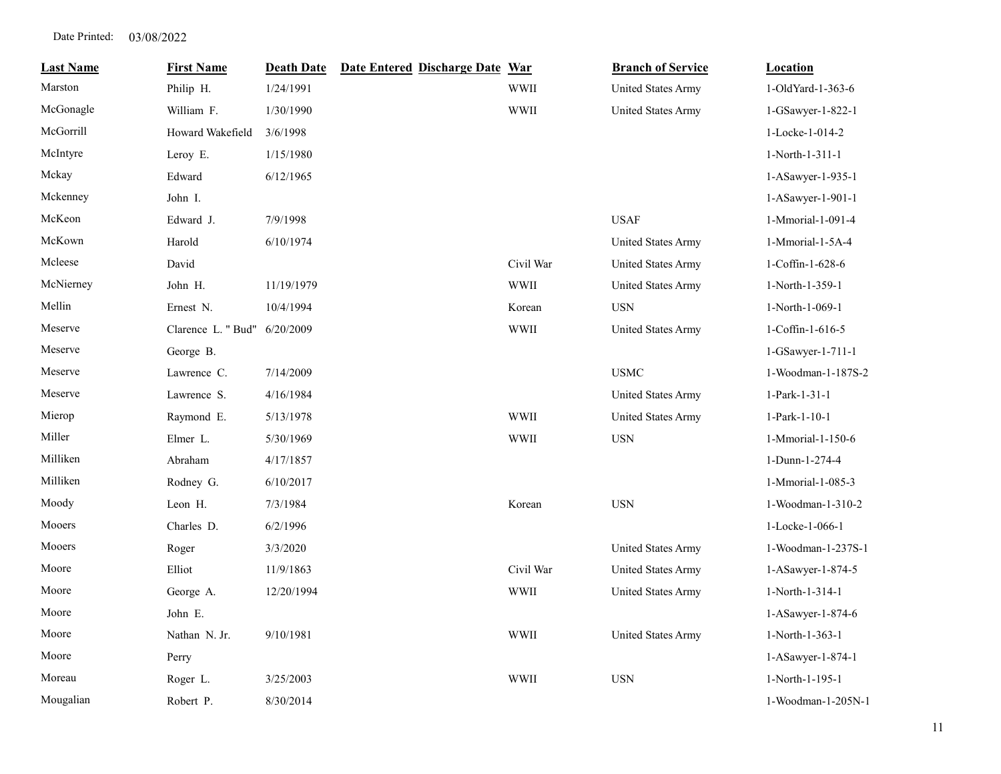| <b>Last Name</b> | <b>First Name</b>  | <b>Death Date</b> | Date Entered Discharge Date War |             | <b>Branch of Service</b>  | Location           |
|------------------|--------------------|-------------------|---------------------------------|-------------|---------------------------|--------------------|
| Marston          | Philip H.          | 1/24/1991         |                                 | <b>WWII</b> | <b>United States Army</b> | 1-OldYard-1-363-6  |
| McGonagle        | William F.         | 1/30/1990         |                                 | <b>WWII</b> | United States Army        | 1-GSawyer-1-822-1  |
| McGorrill        | Howard Wakefield   | 3/6/1998          |                                 |             |                           | 1-Locke-1-014-2    |
| McIntyre         | Leroy E.           | 1/15/1980         |                                 |             |                           | 1-North-1-311-1    |
| Mckay            | Edward             | 6/12/1965         |                                 |             |                           | 1-ASawyer-1-935-1  |
| Mckenney         | John I.            |                   |                                 |             |                           | 1-ASawyer-1-901-1  |
| McKeon           | Edward J.          | 7/9/1998          |                                 |             | <b>USAF</b>               | 1-Mmorial-1-091-4  |
| McKown           | Harold             | 6/10/1974         |                                 |             | United States Army        | 1-Mmorial-1-5A-4   |
| Mcleese          | David              |                   |                                 | Civil War   | United States Army        | 1-Coffin-1-628-6   |
| McNierney        | John H.            | 11/19/1979        |                                 | <b>WWII</b> | <b>United States Army</b> | 1-North-1-359-1    |
| Mellin           | Ernest N.          | 10/4/1994         |                                 | Korean      | <b>USN</b>                | 1-North-1-069-1    |
| Meserve          | Clarence L. " Bud" | 6/20/2009         |                                 | <b>WWII</b> | <b>United States Army</b> | 1-Coffin-1-616-5   |
| Meserve          | George B.          |                   |                                 |             |                           | 1-GSawyer-1-711-1  |
| Meserve          | Lawrence C.        | 7/14/2009         |                                 |             | <b>USMC</b>               | 1-Woodman-1-187S-2 |
| Meserve          | Lawrence S.        | 4/16/1984         |                                 |             | <b>United States Army</b> | 1-Park-1-31-1      |
| Mierop           | Raymond E.         | 5/13/1978         |                                 | <b>WWII</b> | <b>United States Army</b> | 1-Park-1-10-1      |
| Miller           | Elmer L.           | 5/30/1969         |                                 | <b>WWII</b> | <b>USN</b>                | 1-Mmorial-1-150-6  |
| Milliken         | Abraham            | 4/17/1857         |                                 |             |                           | 1-Dunn-1-274-4     |
| Milliken         | Rodney G.          | 6/10/2017         |                                 |             |                           | 1-Mmorial-1-085-3  |
| Moody            | Leon H.            | 7/3/1984          |                                 | Korean      | <b>USN</b>                | 1-Woodman-1-310-2  |
| Mooers           | Charles D.         | 6/2/1996          |                                 |             |                           | 1-Locke-1-066-1    |
| Mooers           | Roger              | 3/3/2020          |                                 |             | United States Army        | 1-Woodman-1-237S-1 |
| Moore            | Elliot             | 11/9/1863         |                                 | Civil War   | United States Army        | 1-ASawyer-1-874-5  |
| Moore            | George A.          | 12/20/1994        |                                 | <b>WWII</b> | <b>United States Army</b> | 1-North-1-314-1    |
| Moore            | John E.            |                   |                                 |             |                           | 1-ASawyer-1-874-6  |
| Moore            | Nathan N. Jr.      | 9/10/1981         |                                 | <b>WWII</b> | <b>United States Army</b> | 1-North-1-363-1    |
| Moore            | Perry              |                   |                                 |             |                           | 1-ASawyer-1-874-1  |
| Moreau           | Roger L.           | 3/25/2003         |                                 | <b>WWII</b> | <b>USN</b>                | 1-North-1-195-1    |
| Mougalian        | Robert P.          | 8/30/2014         |                                 |             |                           | 1-Woodman-1-205N-1 |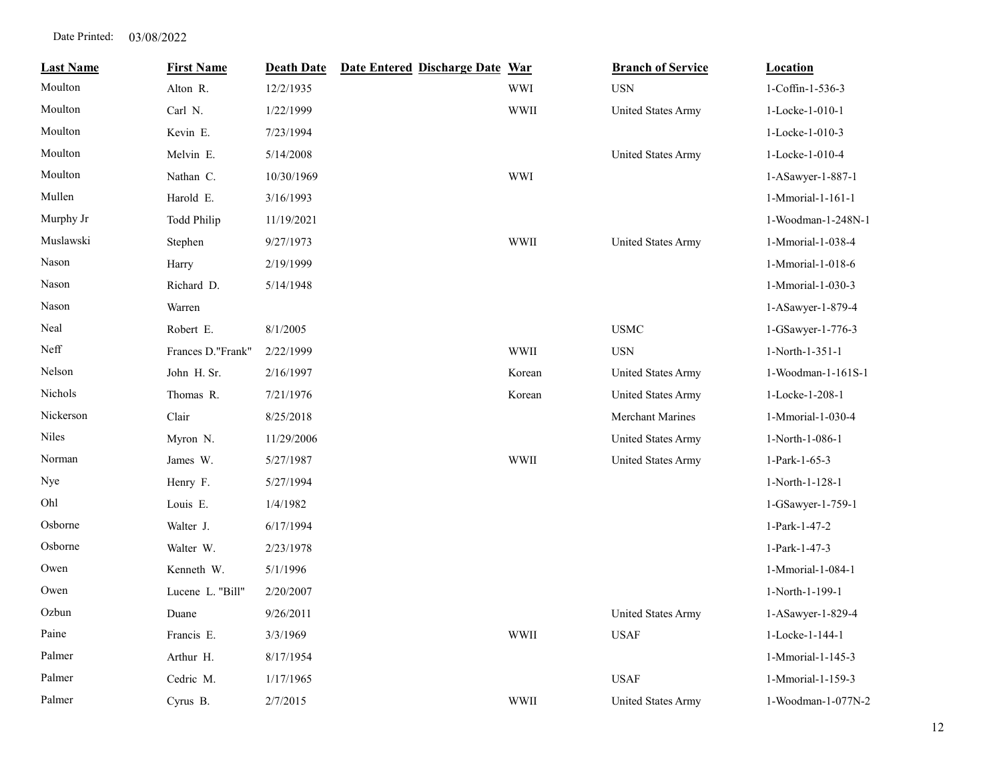| <b>Last Name</b> | <b>First Name</b>  | <b>Death Date</b> | Date Entered Discharge Date War |             | <b>Branch of Service</b>  | <b>Location</b>    |
|------------------|--------------------|-------------------|---------------------------------|-------------|---------------------------|--------------------|
| Moulton          | Alton R.           | 12/2/1935         |                                 | <b>WWI</b>  | <b>USN</b>                | 1-Coffin-1-536-3   |
| Moulton          | Carl N.            | 1/22/1999         |                                 | <b>WWII</b> | <b>United States Army</b> | 1-Locke-1-010-1    |
| Moulton          | Kevin E.           | 7/23/1994         |                                 |             |                           | 1-Locke-1-010-3    |
| Moulton          | Melvin E.          | 5/14/2008         |                                 |             | <b>United States Army</b> | 1-Locke-1-010-4    |
| Moulton          | Nathan C.          | 10/30/1969        |                                 | <b>WWI</b>  |                           | 1-ASawyer-1-887-1  |
| Mullen           | Harold E.          | 3/16/1993         |                                 |             |                           | 1-Mmorial-1-161-1  |
| Murphy Jr        | <b>Todd Philip</b> | 11/19/2021        |                                 |             |                           | 1-Woodman-1-248N-1 |
| Muslawski        | Stephen            | 9/27/1973         |                                 | <b>WWII</b> | <b>United States Army</b> | 1-Mmorial-1-038-4  |
| Nason            | Harry              | 2/19/1999         |                                 |             |                           | 1-Mmorial-1-018-6  |
| Nason            | Richard D.         | 5/14/1948         |                                 |             |                           | 1-Mmorial-1-030-3  |
| Nason            | Warren             |                   |                                 |             |                           | 1-ASawyer-1-879-4  |
| Neal             | Robert E.          | 8/1/2005          |                                 |             | <b>USMC</b>               | 1-GSawyer-1-776-3  |
| Neff             | Frances D."Frank"  | 2/22/1999         |                                 | <b>WWII</b> | <b>USN</b>                | 1-North-1-351-1    |
| Nelson           | John H. Sr.        | 2/16/1997         |                                 | Korean      | United States Army        | 1-Woodman-1-161S-1 |
| Nichols          | Thomas R.          | 7/21/1976         |                                 | Korean      | <b>United States Army</b> | 1-Locke-1-208-1    |
| Nickerson        | Clair              | 8/25/2018         |                                 |             | <b>Merchant Marines</b>   | 1-Mmorial-1-030-4  |
| Niles            | Myron N.           | 11/29/2006        |                                 |             | <b>United States Army</b> | 1-North-1-086-1    |
| Norman           | James W.           | 5/27/1987         |                                 | <b>WWII</b> | <b>United States Army</b> | 1-Park-1-65-3      |
| Nye              | Henry F.           | 5/27/1994         |                                 |             |                           | 1-North-1-128-1    |
| Ohl              | Louis E.           | 1/4/1982          |                                 |             |                           | 1-GSawyer-1-759-1  |
| Osborne          | Walter J.          | 6/17/1994         |                                 |             |                           | 1-Park-1-47-2      |
| Osborne          | Walter W.          | 2/23/1978         |                                 |             |                           | 1-Park-1-47-3      |
| Owen             | Kenneth W.         | 5/1/1996          |                                 |             |                           | 1-Mmorial-1-084-1  |
| Owen             | Lucene L. "Bill"   | 2/20/2007         |                                 |             |                           | 1-North-1-199-1    |
| Ozbun            | Duane              | 9/26/2011         |                                 |             | <b>United States Army</b> | 1-ASawyer-1-829-4  |
| Paine            | Francis E.         | 3/3/1969          |                                 | <b>WWII</b> | <b>USAF</b>               | 1-Locke-1-144-1    |
| Palmer           | Arthur H.          | 8/17/1954         |                                 |             |                           | 1-Mmorial-1-145-3  |
| Palmer           | Cedric M.          | 1/17/1965         |                                 |             | <b>USAF</b>               | 1-Mmorial-1-159-3  |
| Palmer           | Cyrus B.           | 2/7/2015          |                                 | <b>WWII</b> | <b>United States Army</b> | 1-Woodman-1-077N-2 |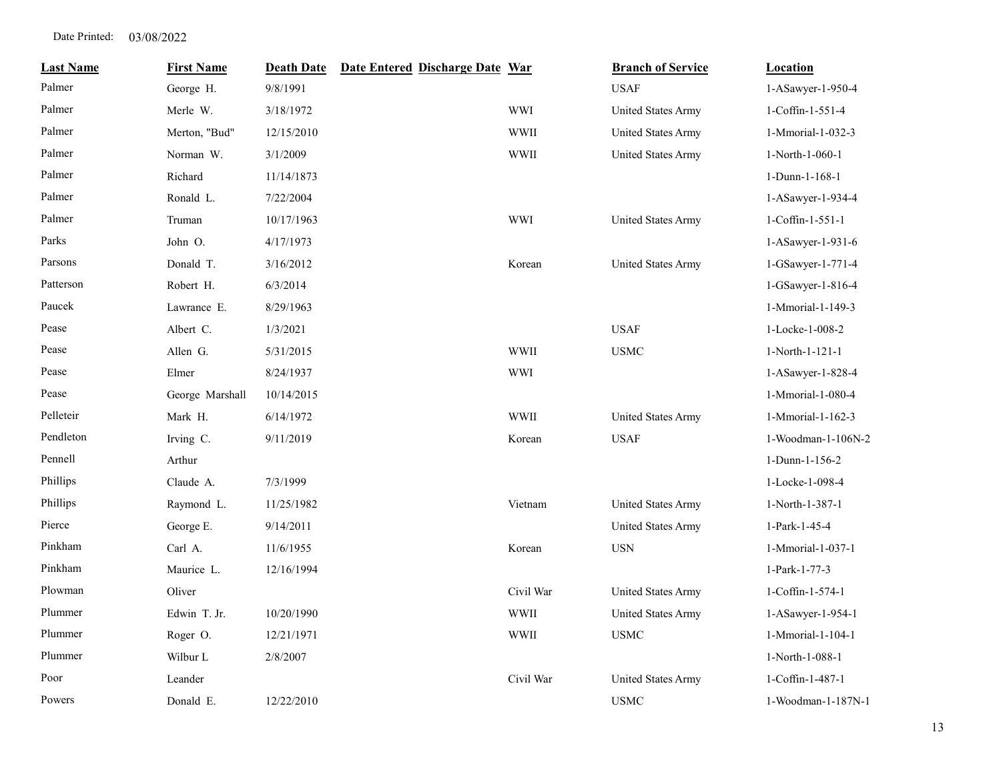| <b>Last Name</b> | <b>First Name</b> | <b>Death Date</b> | Date Entered Discharge Date War |             | <b>Branch of Service</b>  | <b>Location</b>    |
|------------------|-------------------|-------------------|---------------------------------|-------------|---------------------------|--------------------|
| Palmer           | George H.         | 9/8/1991          |                                 |             | <b>USAF</b>               | 1-ASawyer-1-950-4  |
| Palmer           | Merle W.          | 3/18/1972         |                                 | <b>WWI</b>  | <b>United States Army</b> | 1-Coffin-1-551-4   |
| Palmer           | Merton, "Bud"     | 12/15/2010        |                                 | <b>WWII</b> | <b>United States Army</b> | 1-Mmorial-1-032-3  |
| Palmer           | Norman W.         | 3/1/2009          |                                 | <b>WWII</b> | United States Army        | 1-North-1-060-1    |
| Palmer           | Richard           | 11/14/1873        |                                 |             |                           | 1-Dunn-1-168-1     |
| Palmer           | Ronald L.         | 7/22/2004         |                                 |             |                           | 1-ASawyer-1-934-4  |
| Palmer           | Truman            | 10/17/1963        |                                 | <b>WWI</b>  | <b>United States Army</b> | 1-Coffin-1-551-1   |
| Parks            | John O.           | 4/17/1973         |                                 |             |                           | 1-ASawyer-1-931-6  |
| Parsons          | Donald T.         | 3/16/2012         |                                 | Korean      | <b>United States Army</b> | 1-GSawyer-1-771-4  |
| Patterson        | Robert H.         | 6/3/2014          |                                 |             |                           | 1-GSawyer-1-816-4  |
| Paucek           | Lawrance E.       | 8/29/1963         |                                 |             |                           | 1-Mmorial-1-149-3  |
| Pease            | Albert C.         | 1/3/2021          |                                 |             | <b>USAF</b>               | 1-Locke-1-008-2    |
| Pease            | Allen G.          | 5/31/2015         |                                 | <b>WWII</b> | <b>USMC</b>               | 1-North-1-121-1    |
| Pease            | Elmer             | 8/24/1937         |                                 | <b>WWI</b>  |                           | 1-ASawyer-1-828-4  |
| Pease            | George Marshall   | 10/14/2015        |                                 |             |                           | 1-Mmorial-1-080-4  |
| Pelleteir        | Mark H.           | 6/14/1972         |                                 | <b>WWII</b> | United States Army        | 1-Mmorial-1-162-3  |
| Pendleton        | Irving C.         | 9/11/2019         |                                 | Korean      | <b>USAF</b>               | 1-Woodman-1-106N-2 |
| Pennell          | Arthur            |                   |                                 |             |                           | 1-Dunn-1-156-2     |
| <b>Phillips</b>  | Claude A.         | 7/3/1999          |                                 |             |                           | 1-Locke-1-098-4    |
| Phillips         | Raymond L.        | 11/25/1982        |                                 | Vietnam     | United States Army        | 1-North-1-387-1    |
| Pierce           | George E.         | 9/14/2011         |                                 |             | United States Army        | 1-Park-1-45-4      |
| Pinkham          | Carl A.           | 11/6/1955         |                                 | Korean      | $_{\rm USN}$              | 1-Mmorial-1-037-1  |
| Pinkham          | Maurice L.        | 12/16/1994        |                                 |             |                           | 1-Park-1-77-3      |
| Plowman          | Oliver            |                   |                                 | Civil War   | United States Army        | 1-Coffin-1-574-1   |
| Plummer          | Edwin T. Jr.      | 10/20/1990        |                                 | <b>WWII</b> | <b>United States Army</b> | 1-ASawyer-1-954-1  |
| Plummer          | Roger O.          | 12/21/1971        |                                 | <b>WWII</b> | <b>USMC</b>               | 1-Mmorial-1-104-1  |
| Plummer          | Wilbur L          | 2/8/2007          |                                 |             |                           | 1-North-1-088-1    |
| Poor             | Leander           |                   |                                 | Civil War   | <b>United States Army</b> | 1-Coffin-1-487-1   |
| Powers           | Donald E.         | 12/22/2010        |                                 |             | <b>USMC</b>               | 1-Woodman-1-187N-1 |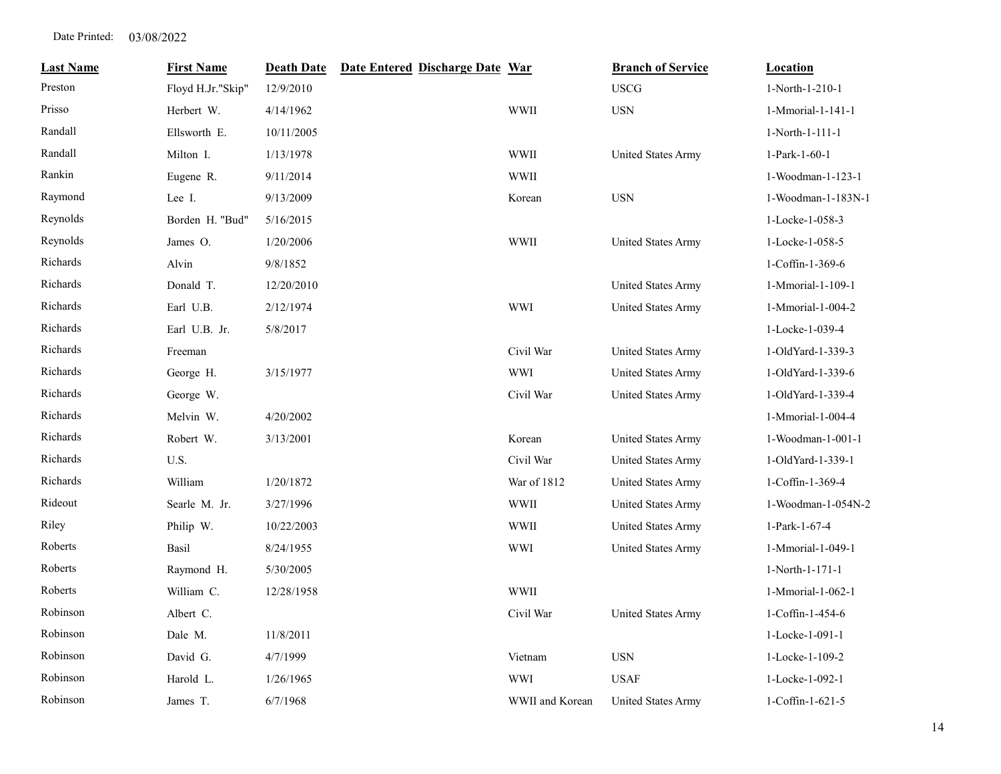| <b>Last Name</b> | <b>First Name</b> | <b>Death Date</b> | Date Entered Discharge Date War |                 | <b>Branch of Service</b>  | <b>Location</b>    |
|------------------|-------------------|-------------------|---------------------------------|-----------------|---------------------------|--------------------|
| Preston          | Floyd H.Jr."Skip" | 12/9/2010         |                                 |                 | <b>USCG</b>               | 1-North-1-210-1    |
| Prisso           | Herbert W.        | 4/14/1962         |                                 | <b>WWII</b>     | $_{\rm USN}$              | 1-Mmorial-1-141-1  |
| Randall          | Ellsworth E.      | 10/11/2005        |                                 |                 |                           | 1-North-1-111-1    |
| Randall          | Milton I.         | 1/13/1978         |                                 | <b>WWII</b>     | United States Army        | 1-Park-1-60-1      |
| Rankin           | Eugene R.         | 9/11/2014         |                                 | <b>WWII</b>     |                           | 1-Woodman-1-123-1  |
| Raymond          | Lee I.            | 9/13/2009         |                                 | Korean          | <b>USN</b>                | 1-Woodman-1-183N-1 |
| Reynolds         | Borden H. "Bud"   | 5/16/2015         |                                 |                 |                           | 1-Locke-1-058-3    |
| Reynolds         | James O.          | 1/20/2006         |                                 | <b>WWII</b>     | <b>United States Army</b> | 1-Locke-1-058-5    |
| Richards         | Alvin             | 9/8/1852          |                                 |                 |                           | 1-Coffin-1-369-6   |
| Richards         | Donald T.         | 12/20/2010        |                                 |                 | United States Army        | 1-Mmorial-1-109-1  |
| Richards         | Earl U.B.         | 2/12/1974         |                                 | <b>WWI</b>      | United States Army        | 1-Mmorial-1-004-2  |
| Richards         | Earl U.B. Jr.     | 5/8/2017          |                                 |                 |                           | 1-Locke-1-039-4    |
| Richards         | Freeman           |                   |                                 | Civil War       | United States Army        | 1-OldYard-1-339-3  |
| Richards         | George H.         | 3/15/1977         |                                 | WWI             | United States Army        | 1-OldYard-1-339-6  |
| Richards         | George W.         |                   |                                 | Civil War       | United States Army        | 1-OldYard-1-339-4  |
| Richards         | Melvin W.         | 4/20/2002         |                                 |                 |                           | 1-Mmorial-1-004-4  |
| Richards         | Robert W.         | 3/13/2001         |                                 | Korean          | United States Army        | 1-Woodman-1-001-1  |
| Richards         | U.S.              |                   |                                 | Civil War       | <b>United States Army</b> | 1-OldYard-1-339-1  |
| Richards         | William           | 1/20/1872         |                                 | War of 1812     | United States Army        | 1-Coffin-1-369-4   |
| Rideout          | Searle M. Jr.     | 3/27/1996         |                                 | <b>WWII</b>     | United States Army        | 1-Woodman-1-054N-2 |
| Riley            | Philip W.         | 10/22/2003        |                                 | <b>WWII</b>     | <b>United States Army</b> | 1-Park-1-67-4      |
| Roberts          | Basil             | 8/24/1955         |                                 | <b>WWI</b>      | United States Army        | 1-Mmorial-1-049-1  |
| Roberts          | Raymond H.        | 5/30/2005         |                                 |                 |                           | 1-North-1-171-1    |
| Roberts          | William C.        | 12/28/1958        |                                 | <b>WWII</b>     |                           | 1-Mmorial-1-062-1  |
| Robinson         | Albert C.         |                   |                                 | Civil War       | United States Army        | 1-Coffin-1-454-6   |
| Robinson         | Dale M.           | 11/8/2011         |                                 |                 |                           | 1-Locke-1-091-1    |
| Robinson         | David G.          | 4/7/1999          |                                 | Vietnam         | <b>USN</b>                | 1-Locke-1-109-2    |
| Robinson         | Harold L.         | 1/26/1965         |                                 | <b>WWI</b>      | <b>USAF</b>               | 1-Locke-1-092-1    |
| Robinson         | James T.          | 6/7/1968          |                                 | WWII and Korean | <b>United States Army</b> | 1-Coffin-1-621-5   |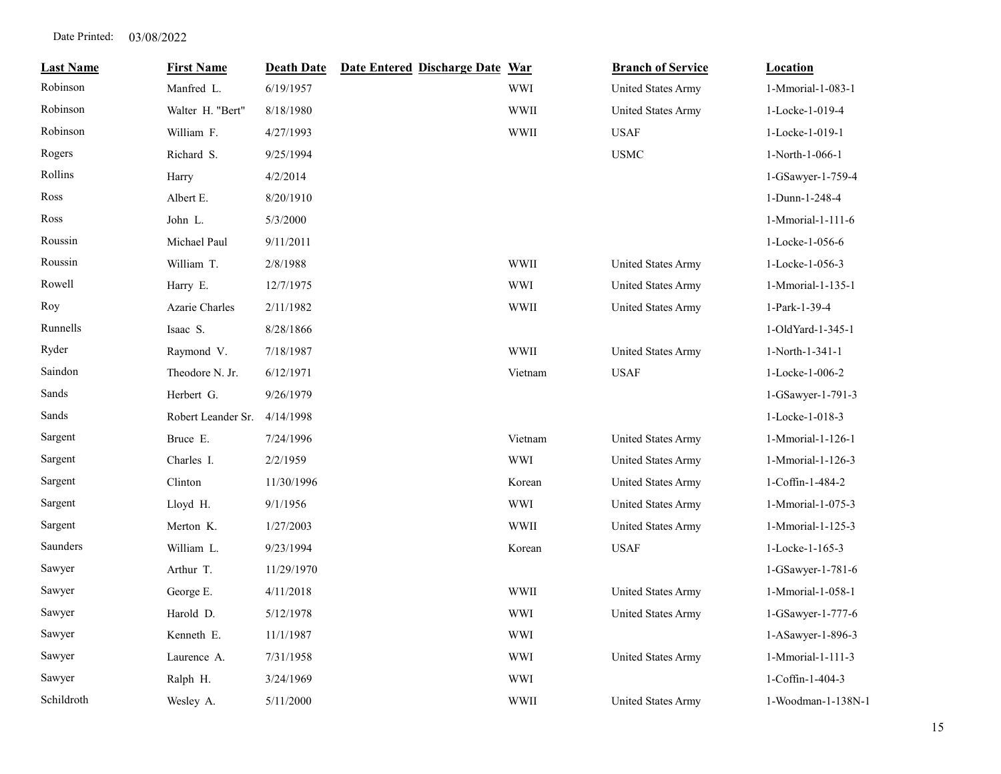| <b>Last Name</b> | <b>First Name</b>  | <b>Death Date</b> | Date Entered Discharge Date War |             | <b>Branch of Service</b>  | <b>Location</b>    |
|------------------|--------------------|-------------------|---------------------------------|-------------|---------------------------|--------------------|
| Robinson         | Manfred L.         | 6/19/1957         |                                 | <b>WWI</b>  | United States Army        | 1-Mmorial-1-083-1  |
| Robinson         | Walter H. "Bert"   | 8/18/1980         |                                 | <b>WWII</b> | United States Army        | 1-Locke-1-019-4    |
| Robinson         | William F.         | 4/27/1993         |                                 | <b>WWII</b> | <b>USAF</b>               | 1-Locke-1-019-1    |
| Rogers           | Richard S.         | 9/25/1994         |                                 |             | <b>USMC</b>               | 1-North-1-066-1    |
| Rollins          | Harry              | 4/2/2014          |                                 |             |                           | 1-GSawyer-1-759-4  |
| Ross             | Albert E.          | 8/20/1910         |                                 |             |                           | 1-Dunn-1-248-4     |
| Ross             | John L.            | 5/3/2000          |                                 |             |                           | 1-Mmorial-1-111-6  |
| Roussin          | Michael Paul       | 9/11/2011         |                                 |             |                           | 1-Locke-1-056-6    |
| Roussin          | William T.         | 2/8/1988          |                                 | <b>WWII</b> | United States Army        | 1-Locke-1-056-3    |
| Rowell           | Harry E.           | 12/7/1975         |                                 | <b>WWI</b>  | United States Army        | 1-Mmorial-1-135-1  |
| Roy              | Azarie Charles     | 2/11/1982         |                                 | <b>WWII</b> | United States Army        | 1-Park-1-39-4      |
| Runnells         | Isaac S.           | 8/28/1866         |                                 |             |                           | 1-OldYard-1-345-1  |
| Ryder            | Raymond V.         | 7/18/1987         |                                 | <b>WWII</b> | United States Army        | 1-North-1-341-1    |
| Saindon          | Theodore N. Jr.    | 6/12/1971         |                                 | Vietnam     | <b>USAF</b>               | 1-Locke-1-006-2    |
| Sands            | Herbert G.         | 9/26/1979         |                                 |             |                           | 1-GSawyer-1-791-3  |
| Sands            | Robert Leander Sr. | 4/14/1998         |                                 |             |                           | 1-Locke-1-018-3    |
| Sargent          | Bruce E.           | 7/24/1996         |                                 | Vietnam     | <b>United States Army</b> | 1-Mmorial-1-126-1  |
| Sargent          | Charles I.         | 2/2/1959          |                                 | <b>WWI</b>  | <b>United States Army</b> | 1-Mmorial-1-126-3  |
| Sargent          | Clinton            | 11/30/1996        |                                 | Korean      | United States Army        | 1-Coffin-1-484-2   |
| Sargent          | Lloyd H.           | 9/1/1956          |                                 | <b>WWI</b>  | United States Army        | 1-Mmorial-1-075-3  |
| Sargent          | Merton K.          | 1/27/2003         |                                 | <b>WWII</b> | <b>United States Army</b> | 1-Mmorial-1-125-3  |
| Saunders         | William L.         | 9/23/1994         |                                 | Korean      | <b>USAF</b>               | 1-Locke-1-165-3    |
| Sawyer           | Arthur T.          | 11/29/1970        |                                 |             |                           | 1-GSawyer-1-781-6  |
| Sawyer           | George E.          | 4/11/2018         |                                 | <b>WWII</b> | <b>United States Army</b> | 1-Mmorial-1-058-1  |
| Sawyer           | Harold D.          | 5/12/1978         |                                 | <b>WWI</b>  | United States Army        | 1-GSawyer-1-777-6  |
| Sawyer           | Kenneth E.         | 11/1/1987         |                                 | <b>WWI</b>  |                           | 1-ASawyer-1-896-3  |
| Sawyer           | Laurence A.        | 7/31/1958         |                                 | WWI         | United States Army        | 1-Mmorial-1-111-3  |
| Sawyer           | Ralph H.           | 3/24/1969         |                                 | <b>WWI</b>  |                           | 1-Coffin-1-404-3   |
| Schildroth       | Wesley A.          | 5/11/2000         |                                 | <b>WWII</b> | <b>United States Army</b> | 1-Woodman-1-138N-1 |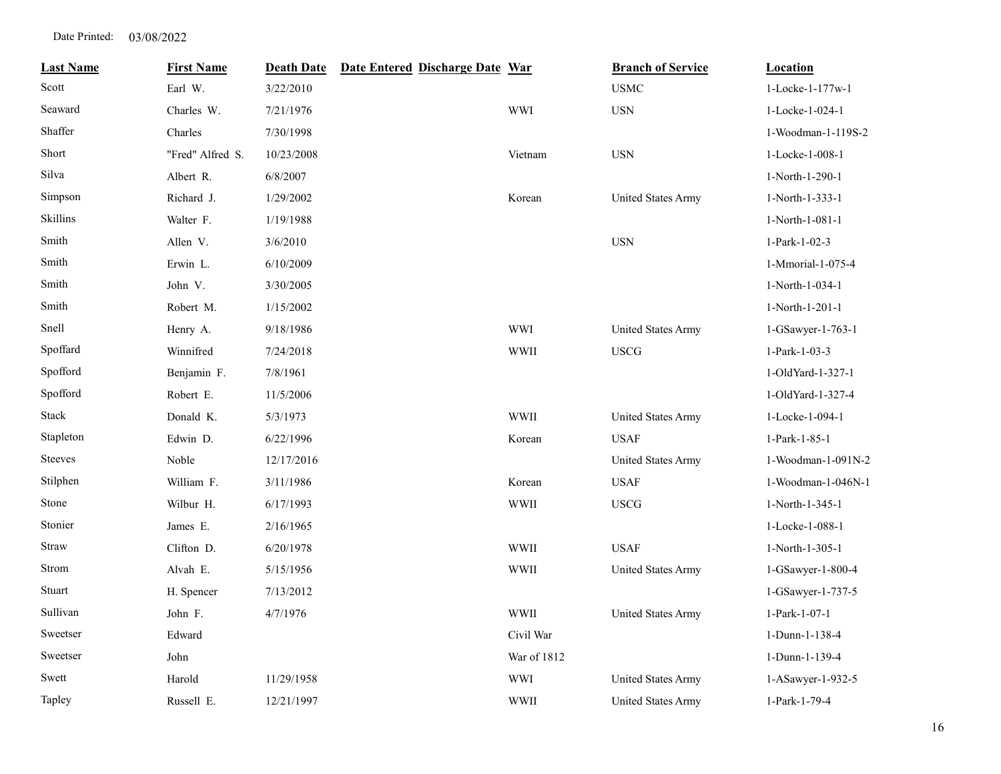| <b>Last Name</b> | <b>First Name</b> | <b>Death Date</b> | Date Entered Discharge Date War |             | <b>Branch of Service</b>  | <b>Location</b>    |
|------------------|-------------------|-------------------|---------------------------------|-------------|---------------------------|--------------------|
| Scott            | Earl W.           | 3/22/2010         |                                 |             | <b>USMC</b>               | 1-Locke-1-177w-1   |
| Seaward          | Charles W.        | 7/21/1976         |                                 | <b>WWI</b>  | <b>USN</b>                | 1-Locke-1-024-1    |
| Shaffer          | Charles           | 7/30/1998         |                                 |             |                           | 1-Woodman-1-119S-2 |
| Short            | "Fred" Alfred S.  | 10/23/2008        |                                 | Vietnam     | <b>USN</b>                | 1-Locke-1-008-1    |
| Silva            | Albert R.         | 6/8/2007          |                                 |             |                           | 1-North-1-290-1    |
| Simpson          | Richard J.        | 1/29/2002         |                                 | Korean      | United States Army        | 1-North-1-333-1    |
| Skillins         | Walter F.         | 1/19/1988         |                                 |             |                           | 1-North-1-081-1    |
| Smith            | Allen V.          | 3/6/2010          |                                 |             | <b>USN</b>                | 1-Park-1-02-3      |
| Smith            | Erwin L.          | 6/10/2009         |                                 |             |                           | 1-Mmorial-1-075-4  |
| Smith            | John V.           | 3/30/2005         |                                 |             |                           | 1-North-1-034-1    |
| Smith            | Robert M.         | 1/15/2002         |                                 |             |                           | 1-North-1-201-1    |
| Snell            | Henry A.          | 9/18/1986         |                                 | <b>WWI</b>  | <b>United States Army</b> | 1-GSawyer-1-763-1  |
| Spoffard         | Winnifred         | 7/24/2018         |                                 | <b>WWII</b> | <b>USCG</b>               | 1-Park-1-03-3      |
| Spofford         | Benjamin F.       | 7/8/1961          |                                 |             |                           | 1-OldYard-1-327-1  |
| Spofford         | Robert E.         | 11/5/2006         |                                 |             |                           | 1-OldYard-1-327-4  |
| Stack            | Donald K.         | 5/3/1973          |                                 | <b>WWII</b> | <b>United States Army</b> | 1-Locke-1-094-1    |
| Stapleton        | Edwin D.          | 6/22/1996         |                                 | Korean      | <b>USAF</b>               | 1-Park-1-85-1      |
| <b>Steeves</b>   | Noble             | 12/17/2016        |                                 |             | United States Army        | 1-Woodman-1-091N-2 |
| Stilphen         | William F.        | 3/11/1986         |                                 | Korean      | <b>USAF</b>               | 1-Woodman-1-046N-1 |
| Stone            | Wilbur H.         | 6/17/1993         |                                 | <b>WWII</b> | <b>USCG</b>               | 1-North-1-345-1    |
| Stonier          | James E.          | 2/16/1965         |                                 |             |                           | 1-Locke-1-088-1    |
| <b>Straw</b>     | Clifton D.        | 6/20/1978         |                                 | <b>WWII</b> | <b>USAF</b>               | 1-North-1-305-1    |
| Strom            | Alvah E.          | 5/15/1956         |                                 | WWII        | United States Army        | 1-GSawyer-1-800-4  |
| Stuart           | H. Spencer        | 7/13/2012         |                                 |             |                           | 1-GSawyer-1-737-5  |
| Sullivan         | John F.           | 4/7/1976          |                                 | <b>WWII</b> | United States Army        | 1-Park-1-07-1      |
| Sweetser         | Edward            |                   |                                 | Civil War   |                           | 1-Dunn-1-138-4     |
| Sweetser         | John              |                   |                                 | War of 1812 |                           | 1-Dunn-1-139-4     |
| Swett            | Harold            | 11/29/1958        |                                 | <b>WWI</b>  | <b>United States Army</b> | 1-ASawyer-1-932-5  |
| Tapley           | Russell E.        | 12/21/1997        |                                 | <b>WWII</b> | United States Army        | 1-Park-1-79-4      |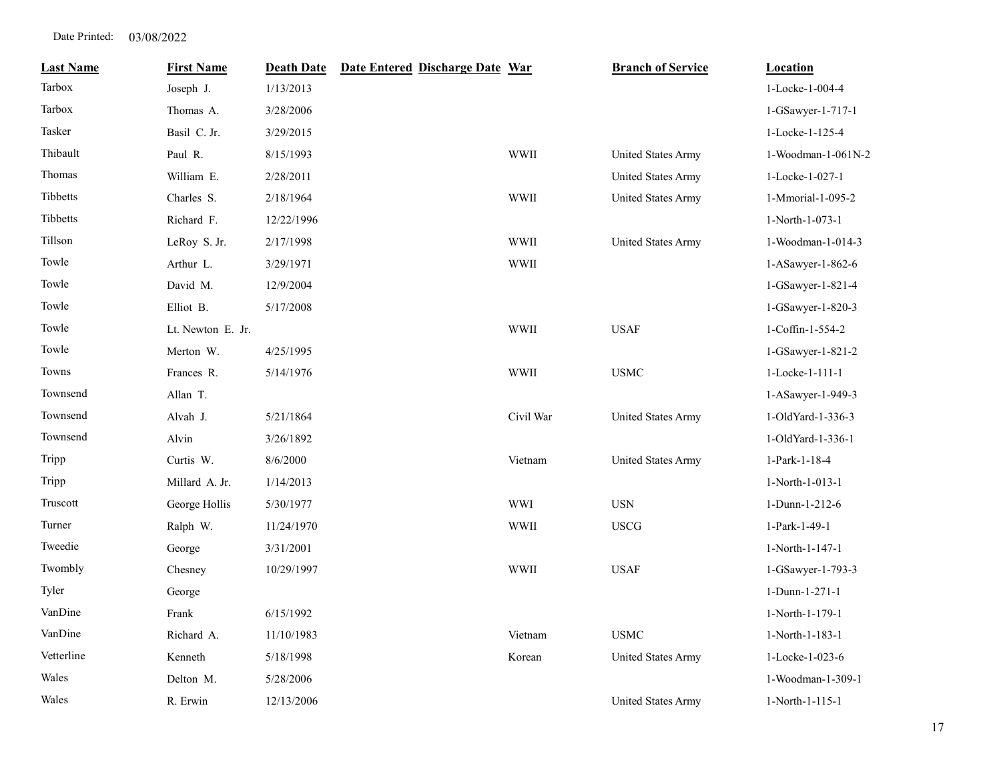| <b>Last Name</b> | <b>First Name</b> | <b>Death Date</b> | Date Entered Discharge Date War |             | <b>Branch of Service</b>  | <b>Location</b>    |
|------------------|-------------------|-------------------|---------------------------------|-------------|---------------------------|--------------------|
| Tarbox           | Joseph J.         | 1/13/2013         |                                 |             |                           | 1-Locke-1-004-4    |
| Tarbox           | Thomas A.         | 3/28/2006         |                                 |             |                           | 1-GSawyer-1-717-1  |
| Tasker           | Basil C. Jr.      | 3/29/2015         |                                 |             |                           | 1-Locke-1-125-4    |
| Thibault         | Paul R.           | 8/15/1993         |                                 | <b>WWII</b> | United States Army        | 1-Woodman-1-061N-2 |
| Thomas           | William E.        | 2/28/2011         |                                 |             | <b>United States Army</b> | 1-Locke-1-027-1    |
| Tibbetts         | Charles S.        | 2/18/1964         |                                 | <b>WWII</b> | United States Army        | 1-Mmorial-1-095-2  |
| Tibbetts         | Richard F.        | 12/22/1996        |                                 |             |                           | 1-North-1-073-1    |
| Tillson          | LeRoy S. Jr.      | 2/17/1998         |                                 | <b>WWII</b> | United States Army        | 1-Woodman-1-014-3  |
| Towle            | Arthur L.         | 3/29/1971         |                                 | <b>WWII</b> |                           | 1-ASawyer-1-862-6  |
| Towle            | David M.          | 12/9/2004         |                                 |             |                           | 1-GSawyer-1-821-4  |
| Towle            | Elliot B.         | 5/17/2008         |                                 |             |                           | 1-GSawyer-1-820-3  |
| Towle            | Lt. Newton E. Jr. |                   |                                 | <b>WWII</b> | <b>USAF</b>               | 1-Coffin-1-554-2   |
| Towle            | Merton W.         | 4/25/1995         |                                 |             |                           | 1-GSawyer-1-821-2  |
| Towns            | Frances R.        | 5/14/1976         |                                 | <b>WWII</b> | <b>USMC</b>               | 1-Locke-1-111-1    |
| Townsend         | Allan T.          |                   |                                 |             |                           | 1-ASawyer-1-949-3  |
| Townsend         | Alvah J.          | 5/21/1864         |                                 | Civil War   | <b>United States Army</b> | 1-OldYard-1-336-3  |
| Townsend         | Alvin             | 3/26/1892         |                                 |             |                           | 1-OldYard-1-336-1  |
| Tripp            | Curtis W.         | 8/6/2000          |                                 | Vietnam     | United States Army        | 1-Park-1-18-4      |
| Tripp            | Millard A. Jr.    | 1/14/2013         |                                 |             |                           | 1-North-1-013-1    |
| Truscott         | George Hollis     | 5/30/1977         |                                 | <b>WWI</b>  | <b>USN</b>                | 1-Dunn-1-212-6     |
| Turner           | Ralph W.          | 11/24/1970        |                                 | <b>WWII</b> | <b>USCG</b>               | 1-Park-1-49-1      |
| Tweedie          | George            | 3/31/2001         |                                 |             |                           | 1-North-1-147-1    |
| Twombly          | Chesney           | 10/29/1997        |                                 | WWII        | <b>USAF</b>               | 1-GSawyer-1-793-3  |
| Tyler            | George            |                   |                                 |             |                           | 1-Dunn-1-271-1     |
| VanDine          | Frank             | 6/15/1992         |                                 |             |                           | 1-North-1-179-1    |
| VanDine          | Richard A.        | 11/10/1983        |                                 | Vietnam     | <b>USMC</b>               | 1-North-1-183-1    |
| Vetterline       | Kenneth           | 5/18/1998         |                                 | Korean      | United States Army        | 1-Locke-1-023-6    |
| Wales            | Delton M.         | 5/28/2006         |                                 |             |                           | 1-Woodman-1-309-1  |
| Wales            | R. Erwin          | 12/13/2006        |                                 |             | United States Army        | 1-North-1-115-1    |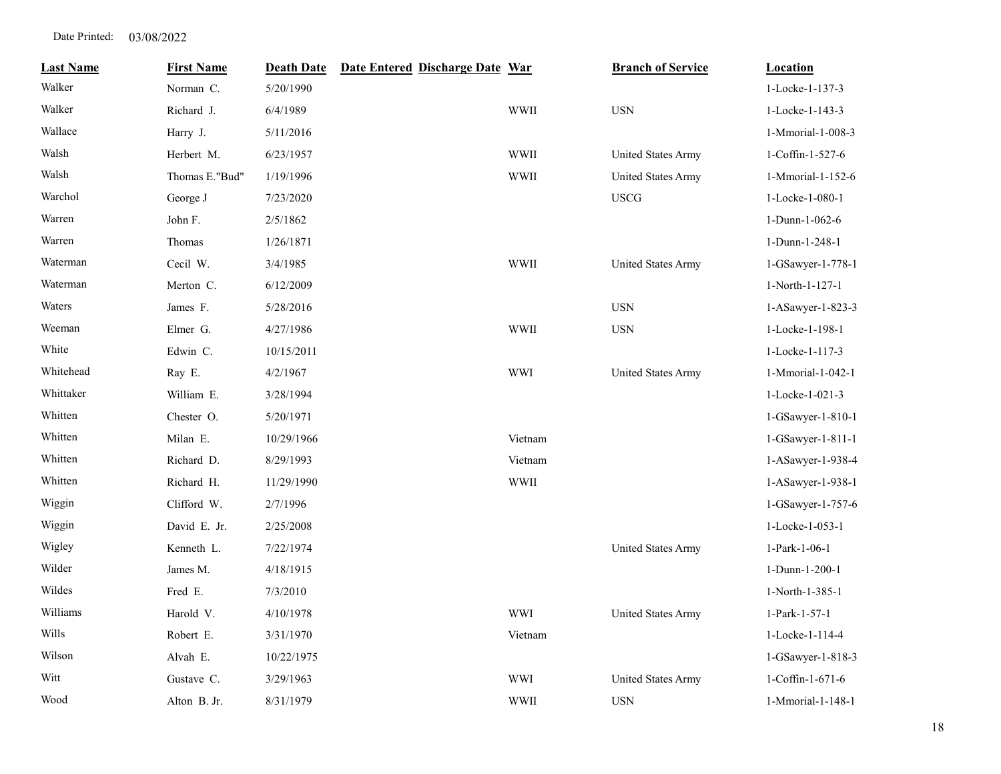| <b>Last Name</b> | <b>First Name</b> | <b>Death Date</b> | Date Entered Discharge Date War |             | <b>Branch of Service</b>  | Location          |
|------------------|-------------------|-------------------|---------------------------------|-------------|---------------------------|-------------------|
| Walker           | Norman C.         | 5/20/1990         |                                 |             |                           | 1-Locke-1-137-3   |
| Walker           | Richard J.        | 6/4/1989          |                                 | <b>WWII</b> | $_{\rm USN}$              | 1-Locke-1-143-3   |
| Wallace          | Harry J.          | 5/11/2016         |                                 |             |                           | 1-Mmorial-1-008-3 |
| Walsh            | Herbert M.        | 6/23/1957         |                                 | <b>WWII</b> | <b>United States Army</b> | 1-Coffin-1-527-6  |
| Walsh            | Thomas E."Bud"    | 1/19/1996         |                                 | <b>WWII</b> | <b>United States Army</b> | 1-Mmorial-1-152-6 |
| Warchol          | George J          | 7/23/2020         |                                 |             | $_{\mathrm{USCG}}$        | 1-Locke-1-080-1   |
| Warren           | John F.           | 2/5/1862          |                                 |             |                           | 1-Dunn-1-062-6    |
| Warren           | Thomas            | 1/26/1871         |                                 |             |                           | 1-Dunn-1-248-1    |
| Waterman         | Cecil W.          | 3/4/1985          |                                 | <b>WWII</b> | United States Army        | 1-GSawyer-1-778-1 |
| Waterman         | Merton C.         | 6/12/2009         |                                 |             |                           | 1-North-1-127-1   |
| Waters           | James F.          | 5/28/2016         |                                 |             | $_{\rm USN}$              | 1-ASawyer-1-823-3 |
| Weeman           | Elmer G.          | 4/27/1986         |                                 | <b>WWII</b> | $_{\rm USN}$              | 1-Locke-1-198-1   |
| White            | Edwin C.          | 10/15/2011        |                                 |             |                           | 1-Locke-1-117-3   |
| Whitehead        | Ray E.            | 4/2/1967          |                                 | <b>WWI</b>  | <b>United States Army</b> | 1-Mmorial-1-042-1 |
| Whittaker        | William E.        | 3/28/1994         |                                 |             |                           | 1-Locke-1-021-3   |
| Whitten          | Chester O.        | 5/20/1971         |                                 |             |                           | 1-GSawyer-1-810-1 |
| Whitten          | Milan E.          | 10/29/1966        |                                 | Vietnam     |                           | 1-GSawyer-1-811-1 |
| Whitten          | Richard D.        | 8/29/1993         |                                 | Vietnam     |                           | 1-ASawyer-1-938-4 |
| Whitten          | Richard H.        | 11/29/1990        |                                 | <b>WWII</b> |                           | 1-ASawyer-1-938-1 |
| Wiggin           | Clifford W.       | 2/7/1996          |                                 |             |                           | 1-GSawyer-1-757-6 |
| Wiggin           | David E. Jr.      | 2/25/2008         |                                 |             |                           | 1-Locke-1-053-1   |
| Wigley           | Kenneth L.        | 7/22/1974         |                                 |             | <b>United States Army</b> | 1-Park-1-06-1     |
| Wilder           | James M.          | 4/18/1915         |                                 |             |                           | 1-Dunn-1-200-1    |
| Wildes           | Fred E.           | 7/3/2010          |                                 |             |                           | 1-North-1-385-1   |
| Williams         | Harold V.         | 4/10/1978         |                                 | <b>WWI</b>  | United States Army        | 1-Park-1-57-1     |
| Wills            | Robert E.         | 3/31/1970         |                                 | Vietnam     |                           | 1-Locke-1-114-4   |
| Wilson           | Alvah E.          | 10/22/1975        |                                 |             |                           | 1-GSawyer-1-818-3 |
| Witt             | Gustave C.        | 3/29/1963         |                                 | <b>WWI</b>  | United States Army        | 1-Coffin-1-671-6  |
| Wood             | Alton B. Jr.      | 8/31/1979         |                                 | <b>WWII</b> | <b>USN</b>                | 1-Mmorial-1-148-1 |